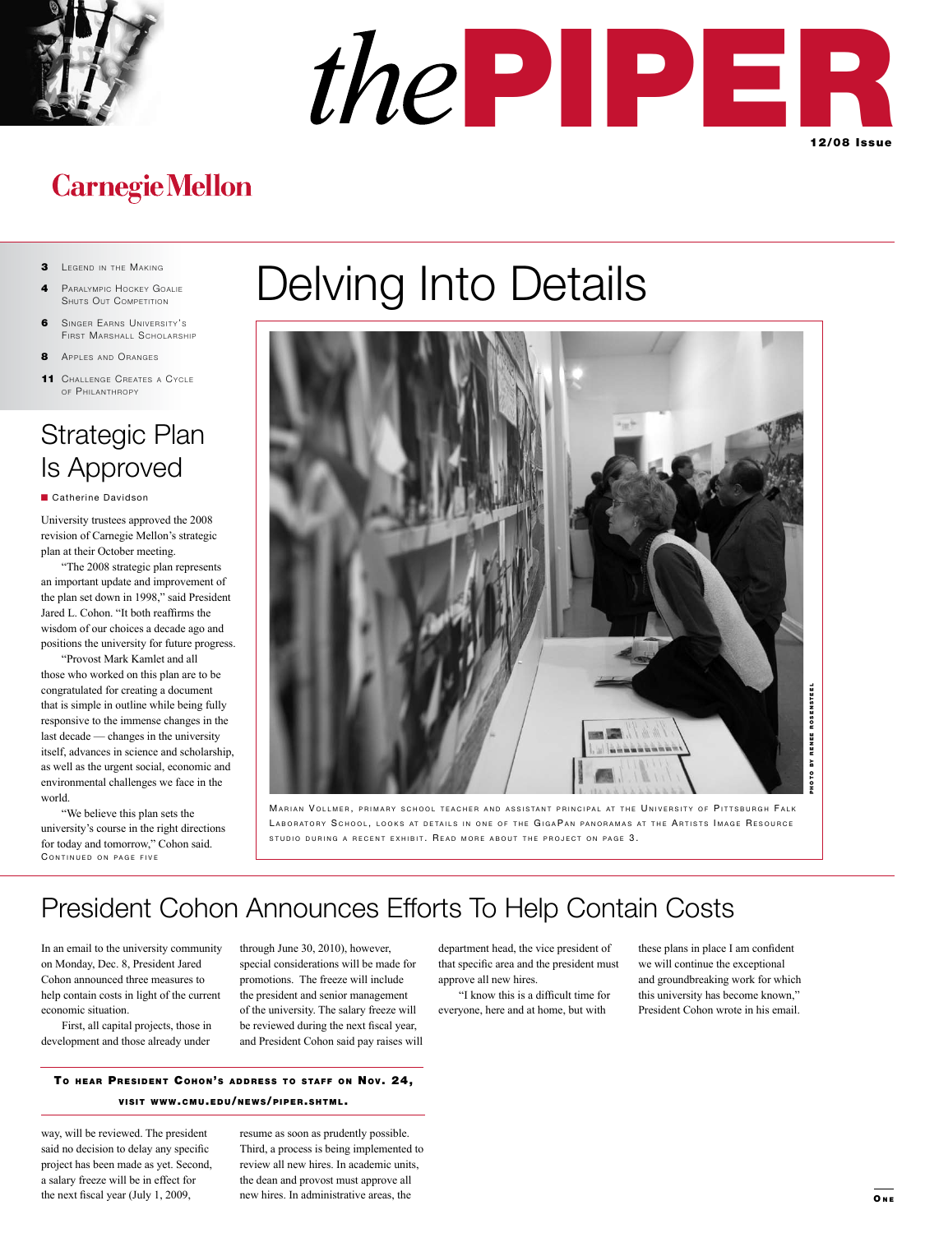



## **Carnegie Mellon**

- 3 LEGEND IN THE MAKING
- PARALYMPIC HOCKEY GOALIE **SHUTS OUT COMPETITION**
- 6 SINGER EARNS UNIVERSITY'S FIRST MARSHALL SCHOLARSHIP
- 8 Apples and Oranges
- 11 CHALLENGE CREATES A CYCLE OF PHII ANTHROPY

## Strategic Plan Is Approved

■ Catherine Davidson

University trustees approved the 2008 revision of Carnegie Mellon's strategic plan at their October meeting.

"The 2008 strategic plan represents an important update and improvement of the plan set down in 1998," said President Jared L. Cohon. "It both reaffirms the wisdom of our choices a decade ago and positions the university for future progress.

"Provost Mark Kamlet and all those who worked on this plan are to be congratulated for creating a document that is simple in outline while being fully responsive to the immense changes in the last decade — changes in the university itself, advances in science and scholarship, as well as the urgent social, economic and environmental challenges we face in the world.

CONTINUED ON PAGE FIVE "We believe this plan sets the university's course in the right directions for today and tomorrow," Cohon said.

# Delving Into Details



MARIAN VOLLMER, PRIMARY SCHOOL TEACHER AND ASSISTANT PRINCIPAL AT THE UNIVERSITY OF PITTSBURGH FALK LABORATORY SCHOOL, LOOKS AT DETAILS IN ONE OF THE GIGAPAN PANORAMAS AT THE ARTISTS IMAGE RESOURCE STUDIO DURING A RECENT EXHIBIT. READ MORE ABOUT THE PROJECT ON PAGE 3.

## President Cohon Announces Efforts To Help Contain Costs

In an email to the university community on Monday, Dec. 8, President Jared Cohon announced three measures to help contain costs in light of the current economic situation.

First, all capital projects, those in development and those already under

through June 30, 2010), however, special considerations will be made for promotions. The freeze will include the president and senior management of the university. The salary freeze will be reviewed during the next fiscal year, and President Cohon said pay raises will

### TO HEAR PRESIDENT COHON'S ADDRESS TO STAFF ON NOV. 24, **VISIT WWW.CMU.EDU/NEWS/PIPER.SHTML.**

way, will be reviewed. The president said no decision to delay any specific project has been made as yet. Second, a salary freeze will be in effect for the next fiscal year (July 1, 2009,

resume as soon as prudently possible. Third, a process is being implemented to review all new hires. In academic units, the dean and provost must approve all new hires. In administrative areas, the

department head, the vice president of that specific area and the president must approve all new hires.

"I know this is a difficult time for everyone, here and at home, but with

these plans in place I am confident we will continue the exceptional and groundbreaking work for which this university has become known," President Cohon wrote in his email.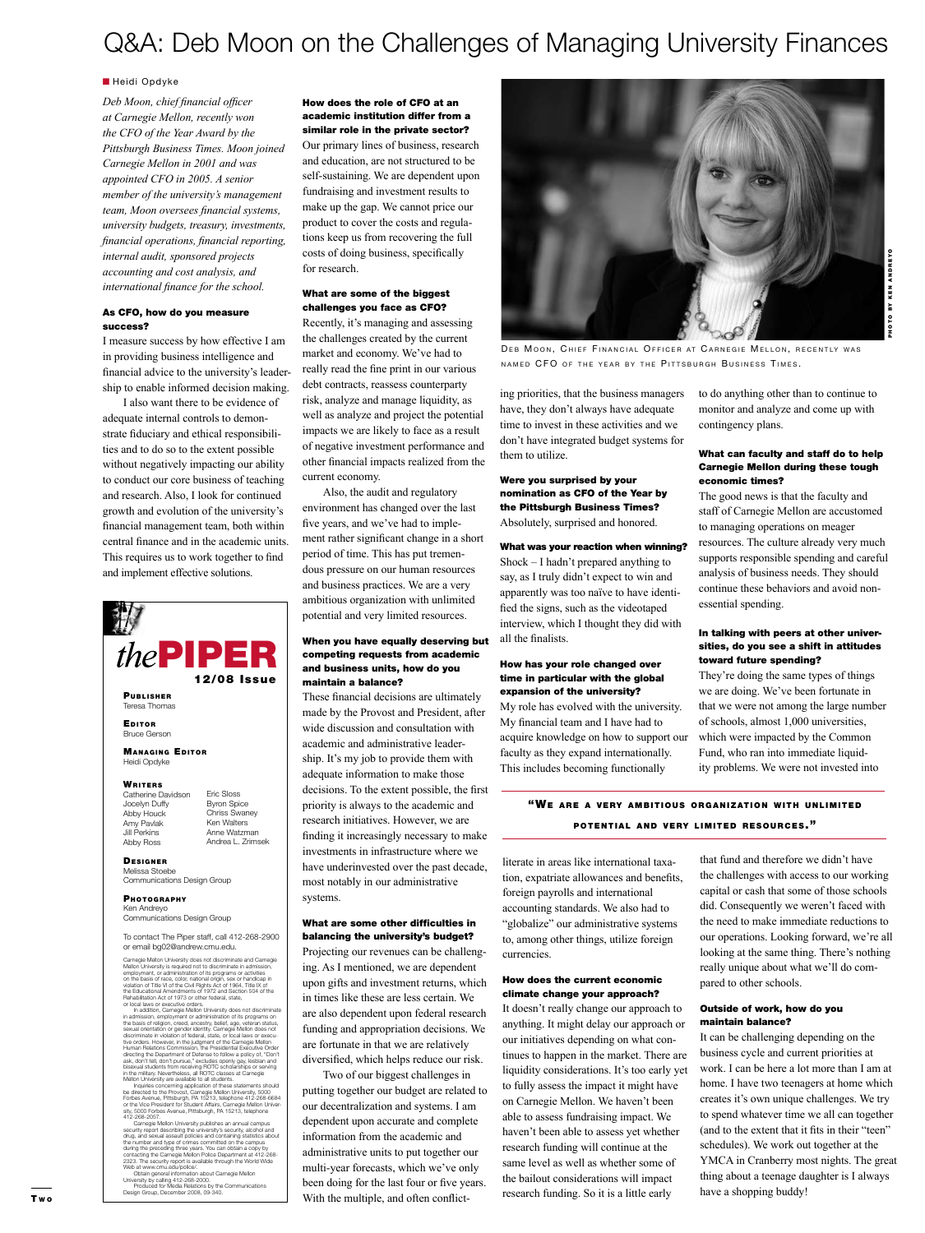### Q&A: Deb Moon on the Challenges of Managing University Finances

#### **n** Heidi Opdyke

*Deb Moon, chief financial officer at Carnegie Mellon, recently won the CFO of the Year Award by the Pittsburgh Business Times. Moon joined Carnegie Mellon in 2001 and was appointed CFO in 2005. A senior member of the university's management team, Moon oversees financial systems, university budgets, treasury, investments, financial operations, financial reporting, internal audit, sponsored projects accounting and cost analysis, and international finance for the school.*

#### As CFO, how do you measure success?

I measure success by how effective I am in providing business intelligence and financial advice to the university's leadership to enable informed decision making.

I also want there to be evidence of adequate internal controls to demonstrate fiduciary and ethical responsibilities and to do so to the extent possible without negatively impacting our ability to conduct our core business of teaching and research. Also, I look for continued growth and evolution of the university's financial management team, both within central finance and in the academic units. This requires us to work together to find and implement effective solutions.



tive orders. However, in the judgment of the Carnegie Mellon<br>Human Relations Commission, the Presidential Executive Order<br>directing the Department of Defense to follow a policy of, "Don't<br>ask, don't tell, don't pursue," ex bisexual students from receiving ROTC scholarships or serving in the military. Nevertheless, all ROTC classes at Carnegie Mellon University are available to all students.

Inquiries concerning application of these statements should<br>be directed to the Provost, Carnegie Mellon University, 5000<br>Forbes Avenue, Pittsburgh, PA 15213, telephone 412-268-6684<br>or the Vice President for Student Affairs

 Carnegie Mellon University publishes an annual campus security report describing the university's security, alcohol and chrog, and sexual assault policies and containing statistics about<br>the number and type of crimes committed on the campus<br>during the preceding three years. You can obtain a copy by<br>contacting the Camegie Mellon Police Depar

#### How does the role of CFO at an academic institution differ from a similar role in the private sector?

Our primary lines of business, research and education, are not structured to be self-sustaining. We are dependent upon fundraising and investment results to make up the gap. We cannot price our product to cover the costs and regulations keep us from recovering the full costs of doing business, specifically for research.

#### What are some of the biggest challenges you face as CFO?

Recently, it's managing and assessing the challenges created by the current market and economy. We've had to really read the fine print in our various debt contracts, reassess counterparty risk, analyze and manage liquidity, as well as analyze and project the potential impacts we are likely to face as a result of negative investment performance and other financial impacts realized from the current economy.

Also, the audit and regulatory environment has changed over the last five years, and we've had to implement rather significant change in a short period of time. This has put tremendous pressure on our human resources and business practices. We are a very ambitious organization with unlimited potential and very limited resources.

#### When you have equally deserving but competing requests from academic and business units, how do you maintain a balance?

These financial decisions are ultimately made by the Provost and President, after wide discussion and consultation with academic and administrative leadership. It's my job to provide them with adequate information to make those decisions. To the extent possible, the first priority is always to the academic and research initiatives. However, we are finding it increasingly necessary to make investments in infrastructure where we have underinvested over the past decade, most notably in our administrative systems.

#### What are some other difficulties in balancing the university's budget?

Projecting our revenues can be challenging. As I mentioned, we are dependent upon gifts and investment returns, which in times like these are less certain. We are also dependent upon federal research funding and appropriation decisions. We are fortunate in that we are relatively diversified, which helps reduce our risk.

Two of our biggest challenges in putting together our budget are related to our decentralization and systems. I am dependent upon accurate and complete information from the academic and administrative units to put together our multi-year forecasts, which we've only been doing for the last four or five years. With the multiple, and often conflict-



DEB MOON, CHIEF FINANCIAL OFFICER AT CARNEGIE MELLON, RECENTLY WAS NAMED CFO OF THE YEAR BY THE PITTSBURGH BUSINESS TIMES.

ing priorities, that the business managers have, they don't always have adequate time to invest in these activities and we don't have integrated budget systems for them to utilize.

Were you surprised by your nomination as CFO of the Year by the Pittsburgh Business Times? Absolutely, surprised and honored.

What was your reaction when winning?

Shock – I hadn't prepared anything to say, as I truly didn't expect to win and apparently was too naïve to have identified the signs, such as the videotaped interview, which I thought they did with all the finalists.

#### How has your role changed over time in particular with the global expansion of the university?

My role has evolved with the university. My financial team and I have had to acquire knowledge on how to support our faculty as they expand internationally. This includes becoming functionally

to do anything other than to continue to monitor and analyze and come up with contingency plans.

#### What can faculty and staff do to help Carnegie Mellon during these tough economic times?

The good news is that the faculty and staff of Carnegie Mellon are accustomed to managing operations on meager resources. The culture already very much supports responsible spending and careful analysis of business needs. They should continue these behaviors and avoid nonessential spending.

#### In talking with peers at other universities, do you see a shift in attitudes toward future spending?

They're doing the same types of things we are doing. We've been fortunate in that we were not among the large number of schools, almost 1,000 universities, which were impacted by the Common Fund, who ran into immediate liquidity problems. We were not invested into

"WE ARE A VERY AMBITIOUS ORGANIZATION WITH UNLIMITED POTENTIAL AND VERY LIMITED RESOURCES."

literate in areas like international taxation, expatriate allowances and benefits, foreign payrolls and international accounting standards. We also had to "globalize" our administrative systems to, among other things, utilize foreign currencies.

#### How does the current economic climate change your approach?

It doesn't really change our approach to anything. It might delay our approach or our initiatives depending on what continues to happen in the market. There are liquidity considerations. It's too early yet to fully assess the impact it might have on Carnegie Mellon. We haven't been able to assess fundraising impact. We haven't been able to assess yet whether research funding will continue at the same level as well as whether some of the bailout considerations will impact research funding. So it is a little early

that fund and therefore we didn't have the challenges with access to our working capital or cash that some of those schools did. Consequently we weren't faced with the need to make immediate reductions to our operations. Looking forward, we're all looking at the same thing. There's nothing really unique about what we'll do compared to other schools.

#### Outside of work, how do you maintain balance?

It can be challenging depending on the business cycle and current priorities at work. I can be here a lot more than I am at home. I have two teenagers at home which creates it's own unique challenges. We try to spend whatever time we all can together (and to the extent that it fits in their "teen" schedules). We work out together at the YMCA in Cranberry most nights. The great thing about a teenage daughter is I always have a shopping buddy!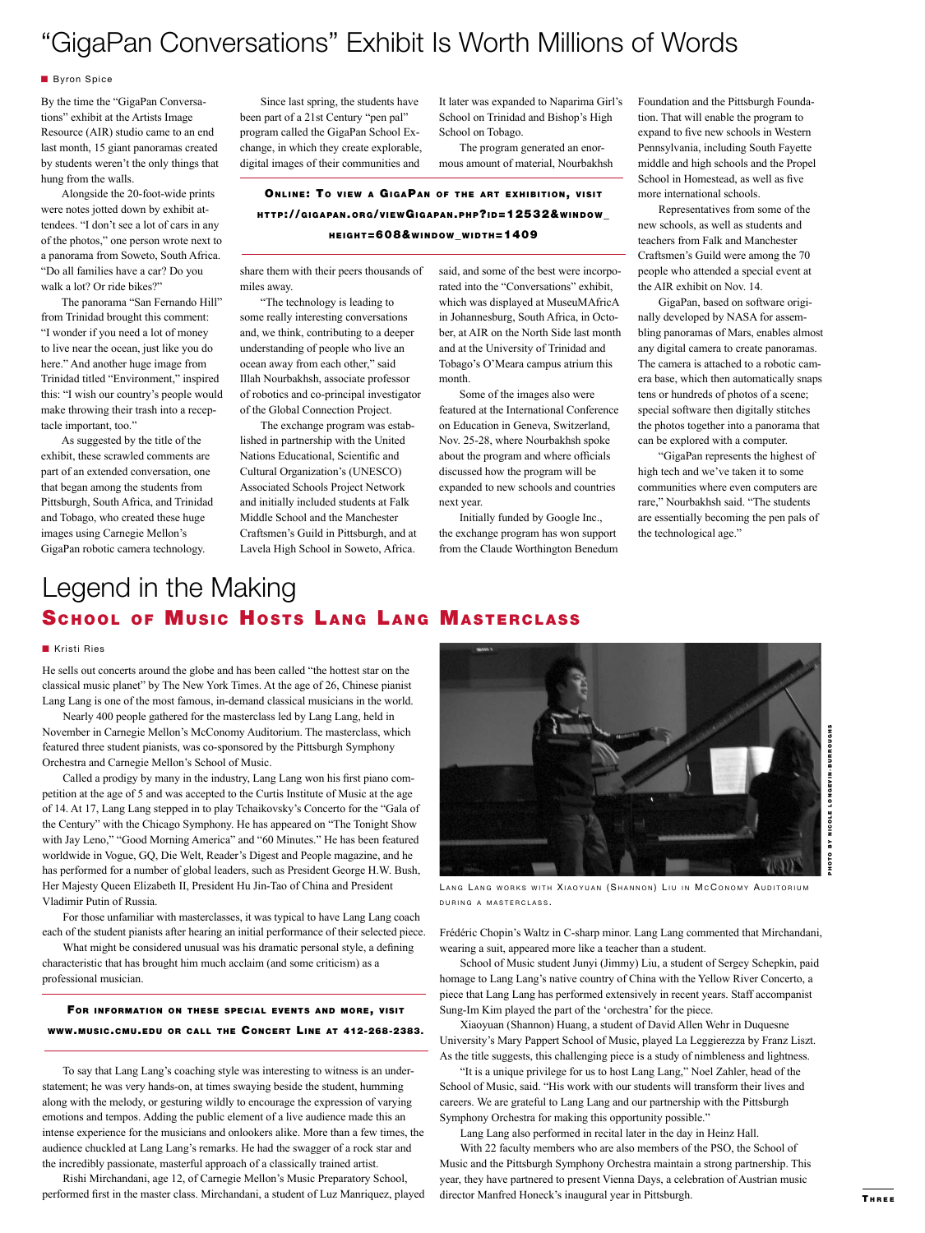### "GigaPan Conversations" Exhibit Is Worth Millions of Words

#### **Byron Spice**

By the time the "GigaPan Conversations" exhibit at the Artists Image Resource (AIR) studio came to an end last month, 15 giant panoramas created by students weren't the only things that hung from the walls.

Alongside the 20-foot-wide prints were notes jotted down by exhibit attendees. "I don't see a lot of cars in any of the photos," one person wrote next to a panorama from Soweto, South Africa. "Do all families have a car? Do you walk a lot? Or ride bikes?"

The panorama "San Fernando Hill" from Trinidad brought this comment: "I wonder if you need a lot of money to live near the ocean, just like you do here." And another huge image from Trinidad titled "Environment," inspired this: "I wish our country's people would make throwing their trash into a receptacle important, too."

As suggested by the title of the exhibit, these scrawled comments are part of an extended conversation, one that began among the students from Pittsburgh, South Africa, and Trinidad and Tobago, who created these huge images using Carnegie Mellon's GigaPan robotic camera technology.

Since last spring, the students have been part of a 21st Century "pen pal" program called the GigaPan School Exchange, in which they create explorable, digital images of their communities and

It later was expanded to Naparima Girl's School on Trinidad and Bishop's High School on Tobago.

The program generated an enormous amount of material, Nourbakhsh

ONLINE: TO VIEW A GIGAPAN OF THE ART EXHIBITION, VISIT htt <sup>p</sup> ://g i g a pa n.o r g/v i ewGi g a pa n. p h p ?id=12532&w i ndow\_ HEIGHT=608&WINDOW\_WIDTH=1409

share them with their peers thousands of miles away.

"The technology is leading to some really interesting conversations and, we think, contributing to a deeper understanding of people who live an ocean away from each other," said Illah Nourbakhsh, associate professor of robotics and co-principal investigator of the Global Connection Project.

The exchange program was established in partnership with the United Nations Educational, Scientific and Cultural Organization's (UNESCO) Associated Schools Project Network and initially included students at Falk Middle School and the Manchester Craftsmen's Guild in Pittsburgh, and at Lavela High School in Soweto, Africa.

said, and some of the best were incorporated into the "Conversations" exhibit, which was displayed at MuseuMAfricA in Johannesburg, South Africa, in October, at AIR on the North Side last month and at the University of Trinidad and Tobago's O'Meara campus atrium this month.

Some of the images also were featured at the International Conference on Education in Geneva, Switzerland, Nov. 25-28, where Nourbakhsh spoke about the program and where officials discussed how the program will be expanded to new schools and countries next year.

Initially funded by Google Inc., the exchange program has won support from the Claude Worthington Benedum Foundation and the Pittsburgh Foundation. That will enable the program to expand to five new schools in Western Pennsylvania, including South Fayette middle and high schools and the Propel School in Homestead, as well as five more international schools.

Representatives from some of the new schools, as well as students and teachers from Falk and Manchester Craftsmen's Guild were among the 70 people who attended a special event at the AIR exhibit on Nov. 14.

GigaPan, based on software originally developed by NASA for assembling panoramas of Mars, enables almost any digital camera to create panoramas. The camera is attached to a robotic camera base, which then automatically snaps tens or hundreds of photos of a scene; special software then digitally stitches the photos together into a panorama that can be explored with a computer.

"GigaPan represents the highest of high tech and we've taken it to some communities where even computers are rare," Nourbakhsh said. "The students are essentially becoming the pen pals of the technological age."

### Legend in the Making SCHOOL OF MUSIC HOSTS LANG LANG MASTERCLASS

#### n Kristi Ries

He sells out concerts around the globe and has been called "the hottest star on the classical music planet" by The New York Times. At the age of 26, Chinese pianist Lang Lang is one of the most famous, in-demand classical musicians in the world.

Nearly 400 people gathered for the masterclass led by Lang Lang, held in November in Carnegie Mellon's McConomy Auditorium. The masterclass, which featured three student pianists, was co-sponsored by the Pittsburgh Symphony Orchestra and Carnegie Mellon's School of Music.

Called a prodigy by many in the industry, Lang Lang won his first piano competition at the age of 5 and was accepted to the Curtis Institute of Music at the age of 14. At 17, Lang Lang stepped in to play Tchaikovsky's Concerto for the "Gala of the Century" with the Chicago Symphony. He has appeared on "The Tonight Show with Jay Leno," "Good Morning America" and "60 Minutes." He has been featured worldwide in Vogue, GQ, Die Welt, Reader's Digest and People magazine, and he has performed for a number of global leaders, such as President George H.W. Bush, Her Majesty Queen Elizabeth II, President Hu Jin-Tao of China and President Vladimir Putin of Russia.

For those unfamiliar with masterclasses, it was typical to have Lang Lang coach each of the student pianists after hearing an initial performance of their selected piece.

What might be considered unusual was his dramatic personal style, a defining characteristic that has brought him much acclaim (and some criticism) as a professional musician.

### FOR INFORMATION ON THESE SPECIAL EVENTS AND MORE, VISIT www.music.cmu.edu or call the Concert Line at 412-268-2383.

To say that Lang Lang's coaching style was interesting to witness is an understatement; he was very hands-on, at times swaying beside the student, humming along with the melody, or gesturing wildly to encourage the expression of varying emotions and tempos. Adding the public element of a live audience made this an intense experience for the musicians and onlookers alike. More than a few times, the audience chuckled at Lang Lang's remarks. He had the swagger of a rock star and the incredibly passionate, masterful approach of a classically trained artist.

Rishi Mirchandani, age 12, of Carnegie Mellon's Music Preparatory School, performed first in the master class. Mirchandani, a student of Luz Manriquez, played



LANG LANG WORKS WITH XIAOYUAN (SHANNON) LIU IN MCCONOMY AUDITORIUM DURING A MASTERCLASS.

Frédéric Chopin's Waltz in C-sharp minor. Lang Lang commented that Mirchandani, wearing a suit, appeared more like a teacher than a student.

School of Music student Junyi (Jimmy) Liu, a student of Sergey Schepkin, paid homage to Lang Lang's native country of China with the Yellow River Concerto, a piece that Lang Lang has performed extensively in recent years. Staff accompanist Sung-Im Kim played the part of the 'orchestra' for the piece.

Xiaoyuan (Shannon) Huang, a student of David Allen Wehr in Duquesne University's Mary Pappert School of Music, played La Leggierezza by Franz Liszt. As the title suggests, this challenging piece is a study of nimbleness and lightness.

"It is a unique privilege for us to host Lang Lang," Noel Zahler, head of the School of Music, said. "His work with our students will transform their lives and careers. We are grateful to Lang Lang and our partnership with the Pittsburgh Symphony Orchestra for making this opportunity possible."

Lang Lang also performed in recital later in the day in Heinz Hall.

With 22 faculty members who are also members of the PSO, the School of Music and the Pittsburgh Symphony Orchestra maintain a strong partnership. This year, they have partnered to present Vienna Days, a celebration of Austrian music director Manfred Honeck's inaugural year in Pittsburgh.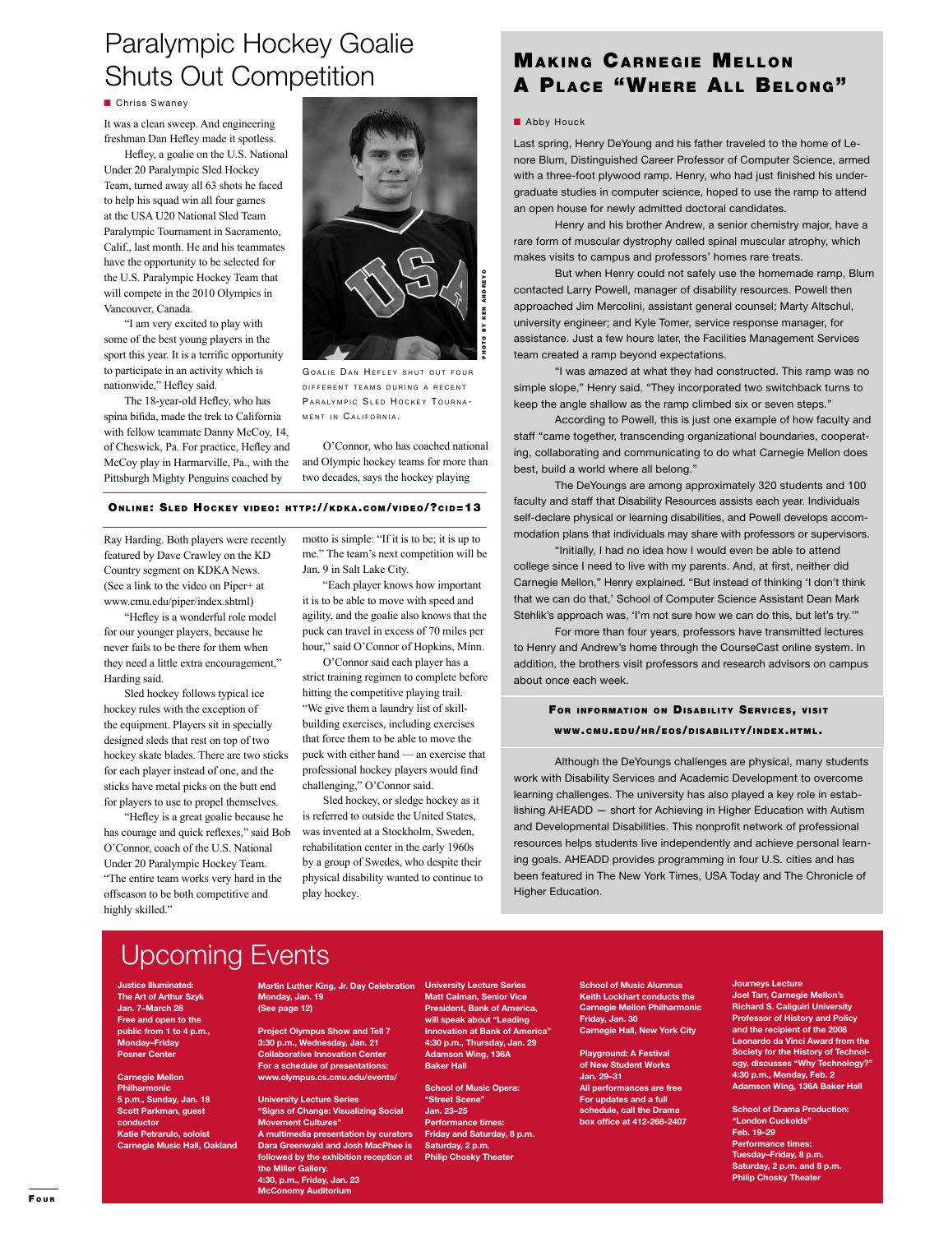### Paralympic Hockey Goalie Shuts Out Competition

#### **n** Chriss Swaney

It was a clean sweep. And engineering freshman Dan Hefley made it spotless.

Hefley, a goalie on the U.S. National Under 20 Paralympic Sled Hockey Team, turned away all 63 shots he faced to help his squad win all four games at the USA U20 National Sled Team Paralympic Tournament in Sacramento, Calif., last month. He and his teammates have the opportunity to be selected for the U.S. Paralympic Hockey Team that will compete in the 2010 Olympics in Vancouver, Canada.

"I am very excited to play with some of the best young players in the sport this year. It is a terrific opportunity to participate in an activity which is nationwide," Hefley said.

The 18-year-old Hefley, who has spina bifida, made the trek to California with fellow teammate Danny McCoy, 14, of Cheswick, Pa. For practice, Hefley and McCoy play in Harmarville, Pa., with the Pittsburgh Mighty Penguins coached by



GOALIE DAN HEFLEY SHUT OUT FOUR DIFFERENT TEAMS DURING A RECENT PARALYMPIC SLED HOCKEY TOURNA-MENT IN CALIFORNIA.

O'Connor, who has coached national and Olympic hockey teams for more than two decades, says the hockey playing

### ONLINE: SLED HOCKEY VIDEO: HTTP://KDKA.COM/VIDEO/?CID=13

Ray Harding. Both players were recently featured by Dave Crawley on the KD Country segment on KDKA News. (See a link to the video on Piper+ at www.cmu.edu/piper/index.shtml)

"Hefley is a wonderful role model for our younger players, because he never fails to be there for them when they need a little extra encouragement," Harding said.

Sled hockey follows typical ice hockey rules with the exception of the equipment. Players sit in specially designed sleds that rest on top of two hockey skate blades. There are two sticks for each player instead of one, and the sticks have metal picks on the butt end for players to use to propel themselves.

"Hefley is a great goalie because he has courage and quick reflexes," said Bob O'Connor, coach of the U.S. National Under 20 Paralympic Hockey Team. "The entire team works very hard in the offseason to be both competitive and highly skilled."

motto is simple: "If it is to be; it is up to me." The team's next competition will be Jan. 9 in Salt Lake City.

"Each player knows how important it is to be able to move with speed and agility, and the goalie also knows that the puck can travel in excess of 70 miles per hour," said O'Connor of Hopkins, Minn.

O'Connor said each player has a strict training regimen to complete before hitting the competitive playing trail. "We give them a laundry list of skillbuilding exercises, including exercises that force them to be able to move the puck with either hand — an exercise that professional hockey players would find challenging," O'Connor said.

Sled hockey, or sledge hockey as it is referred to outside the United States, was invented at a Stockholm, Sweden, rehabilitation center in the early 1960s by a group of Swedes, who despite their physical disability wanted to continue to play hockey.

### **MAKING CARNEGIE MELLON** A PLACE "WHERE ALL BELONG"

#### **n** Abby Houck

Last spring, Henry DeYoung and his father traveled to the home of Lenore Blum, Distinguished Career Professor of Computer Science, armed with a three-foot plywood ramp. Henry, who had just finished his undergraduate studies in computer science, hoped to use the ramp to attend an open house for newly admitted doctoral candidates.

Henry and his brother Andrew, a senior chemistry major, have a rare form of muscular dystrophy called spinal muscular atrophy, which makes visits to campus and professors' homes rare treats.

But when Henry could not safely use the homemade ramp, Blum contacted Larry Powell, manager of disability resources. Powell then approached Jim Mercolini, assistant general counsel; Marty Altschul, university engineer; and Kyle Tomer, service response manager, for assistance. Just a few hours later, the Facilities Management Services team created a ramp beyond expectations.

"I was amazed at what they had constructed. This ramp was no simple slope," Henry said. "They incorporated two switchback turns to keep the angle shallow as the ramp climbed six or seven steps."

According to Powell, this is just one example of how faculty and staff "came together, transcending organizational boundaries, cooperating, collaborating and communicating to do what Carnegie Mellon does best, build a world where all belong."

The DeYoungs are among approximately 320 students and 100 faculty and staff that Disability Resources assists each year. Individuals self-declare physical or learning disabilities, and Powell develops accommodation plans that individuals may share with professors or supervisors.

"Initially, I had no idea how I would even be able to attend college since I need to live with my parents. And, at first, neither did Carnegie Mellon," Henry explained. "But instead of thinking 'I don't think that we can do that,' School of Computer Science Assistant Dean Mark Stehlik's approach was, 'I'm not sure how we can do this, but let's try.'"

For more than four years, professors have transmitted lectures to Henry and Andrew's home through the CourseCast online system. In addition, the brothers visit professors and research advisors on campus about once each week.

### FOR INFORMATION ON DISABILITY SERVICES, VISIT WWW.CMU.EDU/HR/EOS/DISABILITY/INDEX.HTML.

Although the DeYoungs challenges are physical, many students work with Disability Services and Academic Development to overcome learning challenges. The university has also played a key role in establishing AHEADD — short for Achieving in Higher Education with Autism and Developmental Disabilities. This nonprofit network of professional resources helps students live independently and achieve personal learning goals. AHEADD provides programming in four U.S. cities and has been featured in The New York Times, USA Today and The Chronicle of Higher Education.

### Upcoming Events

**Justice Illuminated: The Art of Arthur Szyk Jan. 7–March 28 Free and open to the public from 1 to 4 p.m., Monday–Friday Posner Center**

**Carnegie Mellon Philharmonic 5 p.m., Sunday, Jan. 18 Scott Parkman, guest conductor Katie Petrarulo, soloist Carnegie Music Hall, Oakland**

**Martin Luther King, Jr. Day Celebration Monday, Jan. 19 (See page 12)**

**Project Olympus Show and Tell 7 3:30 p.m., Wednesday, Jan. 21 Collaborative Innovation Center For a schedule of presentations: www.olympus.cs.cmu.edu/events/**

**University Lecture Series "Signs of Change: Visualizing Social Movement Cultures" A multimedia presentation by curators Dara Greenwald and Josh MacPhee is followed by the exhibition reception at** 

**the Miller Gallery. 4:30, p.m., Friday, Jan. 23 McConomy Auditorium**

**University Lecture Series Matt Calman, Senior Vice President, Bank of America, will speak about "Leading Innovation at Bank of America 4:30 p.m., Thursday, Jan. 29 Adamson Wing, 136A Baker Hall**

**School of Music Opera: "Street Scene" Jan. 23–25 Performance times: Friday and Saturday, 8 p.m. Saturday, 2 p.m. Philip Chosky Theater**

**School of Music Alumnus Keith Lockhart conducts the Carnegie Mellon Philharmonic Friday, Jan. 30 Carnegie Hall, New York City**

**Playground: A Festival of New Student Works Jan. 29–31 All performances are free For updates and a full schedule, call the Drama box office at 412-268-2407**

### **Journeys Lecture**

**Joel Tarr, Carnegie Mellon's Richard S. Caliguiri University Professor of History and Policy and the recipient of the 2008 Leonardo da Vinci Award from the Society for the History of Technology, discusses "Why Technology?" 4:30 p.m., Monday, Feb. 2 Adamson Wing, 136A Baker Hall**

**School of Drama Production: "London Cuckolds" Feb. 19–29 Performance times: Tuesday–Friday, 8 p.m. Saturday, 2 p.m. and 8 p.m. Philip Chosky Theater**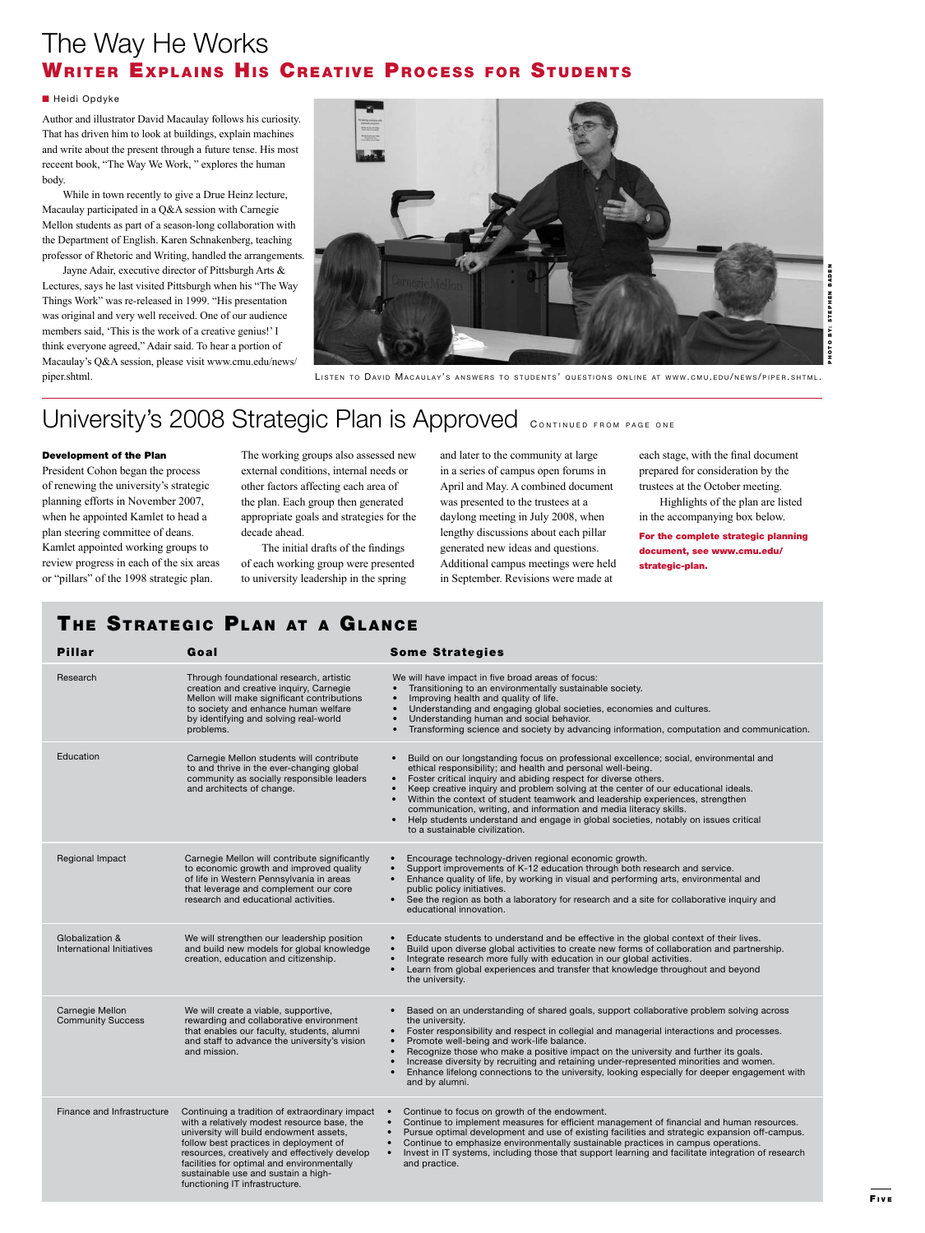### The Way He Works WRITER EXPLAINS HIS CREATIVE PROCESS FOR STUDENTS

### ■ Heidi Opdyke

Author and illustrator David Macaulay follows his curiosity. That has driven him to look at buildings, explain machines and write about the present through a future tense. His most receent book, "The Way We Work, " explores the human body.

While in town recently to give a Drue Heinz lecture, Macaulay participated in a Q&A session with Carnegie Mellon students as part of a season-long collaboration with the Department of English. Karen Schnakenberg, teaching professor of Rhetoric and Writing, handled the arrangements.

Jayne Adair, executive director of Pittsburgh Arts & Lectures, says he last visited Pittsburgh when his "The Way Things Work" was re-released in 1999. "His presentation was original and very well received. One of our audience members said, 'This is the work of a creative genius!' I think everyone agreed," Adair said. To hear a portion of Macaulay's Q&A session, please visit www.cmu.edu/news/



piper.shtml. The state of the control of the Cast of David MacAuLAY's answers to students' questions online at www.cmu.edu/news/piper.shtml.

### University's 2008 Strategic Plan is Approved CONTINUED FROM PAGE ONE

#### Development of the Plan

President Cohon began the process of renewing the university's strategic planning efforts in November 2007, when he appointed Kamlet to head a plan steering committee of deans. Kamlet appointed working groups to review progress in each of the six areas or "pillars" of the 1998 strategic plan.

The working groups also assessed new external conditions, internal needs or other factors affecting each area of the plan. Each group then generated appropriate goals and strategies for the decade ahead.

The initial drafts of the findings of each working group were presented to university leadership in the spring

and later to the community at large in a series of campus open forums in April and May. A combined document was presented to the trustees at a daylong meeting in July 2008, when lengthy discussions about each pillar generated new ideas and questions. Additional campus meetings were held in September. Revisions were made at

each stage, with the final document prepared for consideration by the trustees at the October meeting.

Highlights of the plan are listed in the accompanying box below.

For the complete strategic planning document, see www.cmu.edu/ strategic-plan.

| THE STRATEGIC PLAN AT A GLANCE               |                                                                                                                                                                                                                                                                                                                                                            |                                                                                                                                                                                                                                                                                                                                                                                                                                                                                                                                                                                                                                                                |  |
|----------------------------------------------|------------------------------------------------------------------------------------------------------------------------------------------------------------------------------------------------------------------------------------------------------------------------------------------------------------------------------------------------------------|----------------------------------------------------------------------------------------------------------------------------------------------------------------------------------------------------------------------------------------------------------------------------------------------------------------------------------------------------------------------------------------------------------------------------------------------------------------------------------------------------------------------------------------------------------------------------------------------------------------------------------------------------------------|--|
| <b>Pillar</b>                                | Goal                                                                                                                                                                                                                                                                                                                                                       | <b>Some Strategies</b>                                                                                                                                                                                                                                                                                                                                                                                                                                                                                                                                                                                                                                         |  |
| Research                                     | Through foundational research, artistic<br>creation and creative inquiry, Carnegie<br>Mellon will make significant contributions<br>to society and enhance human welfare<br>by identifying and solving real-world<br>problems.                                                                                                                             | We will have impact in five broad areas of focus:<br>Transitioning to an environmentally sustainable society.<br>$\bullet$<br>Improving health and quality of life.<br>$\bullet$<br>Understanding and engaging global societies, economies and cultures.<br>$\bullet$<br>Understanding human and social behavior.<br>$\bullet$<br>Transforming science and society by advancing information, computation and communication.                                                                                                                                                                                                                                    |  |
| Education                                    | Carnegie Mellon students will contribute<br>to and thrive in the ever-changing global<br>community as socially responsible leaders<br>and architects of change.                                                                                                                                                                                            | Build on our longstanding focus on professional excellence; social, environmental and<br>$\bullet$<br>ethical responsibility; and health and personal well-being.<br>Foster critical inquiry and abiding respect for diverse others.<br>$\bullet$<br>Keep creative inquiry and problem solving at the center of our educational ideals.<br>$\bullet$<br>Within the context of student teamwork and leadership experiences, strengthen<br>$\bullet$<br>communication, writing, and information and media literacy skills.<br>Help students understand and engage in global societies, notably on issues critical<br>$\bullet$<br>to a sustainable civilization. |  |
| Regional Impact                              | Carnegie Mellon will contribute significantly<br>to economic growth and improved quality<br>of life in Western Pennsylvania in areas<br>that leverage and complement our core<br>research and educational activities.                                                                                                                                      | Encourage technology-driven regional economic growth.<br>Support improvements of K-12 education through both research and service.<br>$\bullet$<br>Enhance quality of life, by working in visual and performing arts, environmental and<br>$\bullet$<br>public policy initiatives.<br>See the region as both a laboratory for research and a site for collaborative inquiry and<br>$\bullet$<br>educational innovation.                                                                                                                                                                                                                                        |  |
| Globalization &<br>International Initiatives | We will strengthen our leadership position<br>and build new models for global knowledge<br>creation, education and citizenship.                                                                                                                                                                                                                            | Educate students to understand and be effective in the global context of their lives.<br>Build upon diverse global activities to create new forms of collaboration and partnership.<br>$\bullet$<br>Integrate research more fully with education in our global activities.<br>$\bullet$<br>Learn from global experiences and transfer that knowledge throughout and beyond<br>the university.                                                                                                                                                                                                                                                                  |  |
| Carnegie Mellon<br><b>Community Success</b>  | We will create a viable, supportive,<br>rewarding and collaborative environment<br>that enables our faculty, students, alumni<br>and staff to advance the university's vision<br>and mission.                                                                                                                                                              | Based on an understanding of shared goals, support collaborative problem solving across<br>$\bullet$<br>the university.<br>Foster responsibility and respect in collegial and managerial interactions and processes.<br>$\bullet$<br>Promote well-being and work-life balance.<br>$\bullet$<br>Recognize those who make a positive impact on the university and further its goals.<br>$\bullet$<br>Increase diversity by recruiting and retaining under-represented minorities and women.<br>$\bullet$<br>Enhance lifelong connections to the university, looking especially for deeper engagement with<br>and by alumni.                                      |  |
| Finance and Infrastructure                   | Continuing a tradition of extraordinary impact<br>with a relatively modest resource base, the<br>university will build endowment assets,<br>follow best practices in deployment of<br>resources, creatively and effectively develop<br>facilities for optimal and environmentally<br>sustainable use and sustain a high-<br>functioning IT infrastructure. | Continue to focus on growth of the endowment.<br>Continue to implement measures for efficient management of financial and human resources.<br>$\bullet$<br>Pursue optimal development and use of existing facilities and strategic expansion off-campus.<br>$\bullet$<br>Continue to emphasize environmentally sustainable practices in campus operations.<br>Invest in IT systems, including those that support learning and facilitate integration of research<br>$\bullet$<br>and practice.                                                                                                                                                                 |  |

### F i v e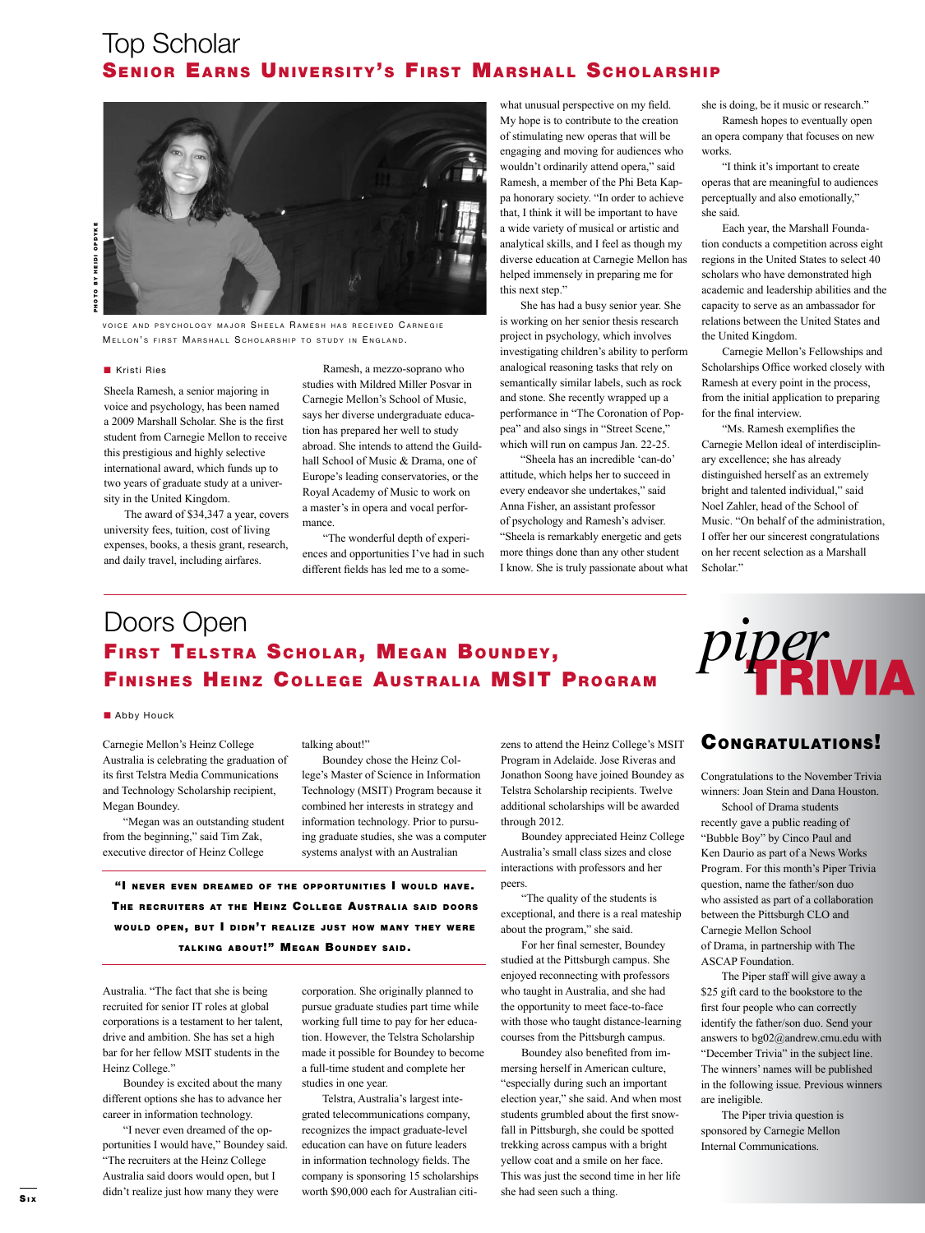### Top Scholar SENIOR EARNS UNIVERSITY'S FIRST MARSHALL SCHOLARSHIP

VOICE AND PSYCHOLOGY MAJOR SHEELA RAMESH HAS RECEIVED CARNEGIE MELLON'S FIRST MARSHALL SCHOLARSHIP TO STUDY IN ENGLAND.

#### **n** Kristi Ries

Sheela Ramesh, a senior majoring in voice and psychology, has been named a 2009 Marshall Scholar. She is the first student from Carnegie Mellon to receive this prestigious and highly selective international award, which funds up to two years of graduate study at a university in the United Kingdom.

The award of \$34,347 a year, covers university fees, tuition, cost of living expenses, books, a thesis grant, research, and daily travel, including airfares.

Ramesh, a mezzo-soprano who studies with Mildred Miller Posvar in Carnegie Mellon's School of Music, says her diverse undergraduate education has prepared her well to study abroad. She intends to attend the Guildhall School of Music & Drama, one of Europe's leading conservatories, or the Royal Academy of Music to work on a master's in opera and vocal performance.

"The wonderful depth of experiences and opportunities I've had in such different fields has led me to a somewhat unusual perspective on my field. My hope is to contribute to the creation of stimulating new operas that will be engaging and moving for audiences who wouldn't ordinarily attend opera," said Ramesh, a member of the Phi Beta Kappa honorary society. "In order to achieve that, I think it will be important to have a wide variety of musical or artistic and analytical skills, and I feel as though my diverse education at Carnegie Mellon has helped immensely in preparing me for this next step."

She has had a busy senior year. She is working on her senior thesis research project in psychology, which involves investigating children's ability to perform analogical reasoning tasks that rely on semantically similar labels, such as rock and stone. She recently wrapped up a performance in "The Coronation of Poppea" and also sings in "Street Scene," which will run on campus Jan. 22-25.

"Sheela has an incredible 'can-do' attitude, which helps her to succeed in every endeavor she undertakes," said Anna Fisher, an assistant professor of psychology and Ramesh's adviser. "Sheela is remarkably energetic and gets more things done than any other student I know. She is truly passionate about what she is doing, be it music or research."

Ramesh hopes to eventually open an opera company that focuses on new works.

"I think it's important to create operas that are meaningful to audiences perceptually and also emotionally," she said.

Each year, the Marshall Foundation conducts a competition across eight regions in the United States to select 40 scholars who have demonstrated high academic and leadership abilities and the capacity to serve as an ambassador for relations between the United States and the United Kingdom.

Carnegie Mellon's Fellowships and Scholarships Office worked closely with Ramesh at every point in the process, from the initial application to preparing for the final interview.

"Ms. Ramesh exemplifies the Carnegie Mellon ideal of interdisciplinary excellence; she has already distinguished herself as an extremely bright and talented individual," said Noel Zahler, head of the School of Music. "On behalf of the administration, I offer her our sincerest congratulations on her recent selection as a Marshall Scholar."

### Doors Open<br>First Telstra Scholar, Megan Boundey, *piper* FIRST TELSTRA SCHOLAR, MEGAN BOUNDEY, FINISHES HEINZ COLLEGE AUSTRALIA MSIT PROGRAM

#### **n** Abby Houck

Carnegie Mellon's Heinz College Australia is celebrating the graduation of its first Telstra Media Communications and Technology Scholarship recipient, Megan Boundey.

"Megan was an outstanding student from the beginning," said Tim Zak, executive director of Heinz College

talking about!"

Boundey chose the Heinz College's Master of Science in Information Technology (MSIT) Program because it combined her interests in strategy and information technology. Prior to pursuing graduate studies, she was a computer systems analyst with an Australian

"I NEVER EVEN DREAMED OF THE OPPORTUNITIES I WOULD HAVE. THE RECRUITERS AT THE HEINZ COLLEGE AUSTRALIA SAID DOORS WOULD OPEN, BUT I DIDN'T REALIZE JUST HOW MANY THEY WERE TALKING ABOUT!" MEGAN BOUNDEY SAID.

Australia. "The fact that she is being recruited for senior IT roles at global corporations is a testament to her talent, drive and ambition. She has set a high bar for her fellow MSIT students in the Heinz College."

Boundey is excited about the many different options she has to advance her career in information technology.

"I never even dreamed of the opportunities I would have," Boundey said. "The recruiters at the Heinz College Australia said doors would open, but I didn't realize just how many they were worth \$90,000 each for Australian citi-<br>Six

corporation. She originally planned to pursue graduate studies part time while working full time to pay for her education. However, the Telstra Scholarship made it possible for Boundey to become a full-time student and complete her studies in one year.

Telstra, Australia's largest integrated telecommunications company, recognizes the impact graduate-level education can have on future leaders in information technology fields. The company is sponsoring 15 scholarships worth \$90,000 each for Australian citizens to attend the Heinz College's MSIT Program in Adelaide. Jose Riveras and Jonathon Soong have joined Boundey as Telstra Scholarship recipients. Twelve additional scholarships will be awarded through 2012.

Boundey appreciated Heinz College Australia's small class sizes and close interactions with professors and her peers.

"The quality of the students is exceptional, and there is a real mateship about the program," she said.

For her final semester, Boundey studied at the Pittsburgh campus. She enjoyed reconnecting with professors who taught in Australia, and she had the opportunity to meet face-to-face with those who taught distance-learning courses from the Pittsburgh campus.

Boundey also benefited from immersing herself in American culture, "especially during such an important election year," she said. And when most students grumbled about the first snowfall in Pittsburgh, she could be spotted trekking across campus with a bright yellow coat and a smile on her face. This was just the second time in her life



### Congratulations!

Congratulations to the November Trivia winners: Joan Stein and Dana Houston.

School of Drama students recently gave a public reading of "Bubble Boy" by Cinco Paul and Ken Daurio as part of a News Works Program. For this month's Piper Trivia question, name the father/son duo who assisted as part of a collaboration between the Pittsburgh CLO and Carnegie Mellon School of Drama, in partnership with The ASCAP Foundation.

The Piper staff will give away a \$25 gift card to the bookstore to the first four people who can correctly identify the father/son duo. Send your answers to bg02@andrew.cmu.edu with "December Trivia" in the subject line. The winners' names will be published in the following issue. Previous winners are ineligible.

The Piper trivia question is sponsored by Carnegie Mellon Internal Communications.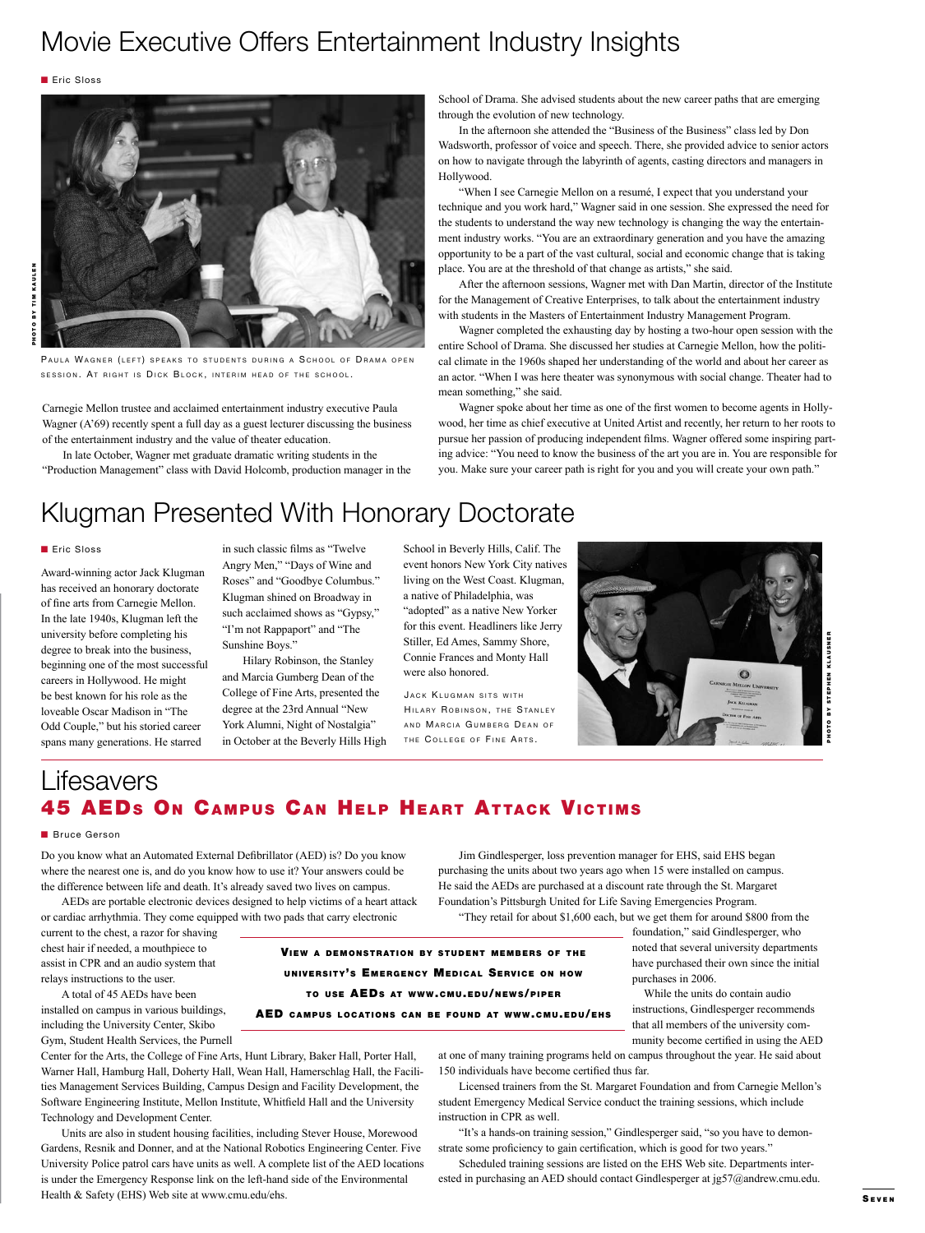### Movie Executive Offers Entertainment Industry Insights

**n** Eric Sloss



PAULA WAGNER (LEFT) SPEAKS TO STUDENTS DURING A SCHOOL OF DRAMA OPEN SESSION. AT RIGHT IS DICK BLOCK, INTERIM HEAD OF THE SCHOOL.

Carnegie Mellon trustee and acclaimed entertainment industry executive Paula Wagner (A'69) recently spent a full day as a guest lecturer discussing the business of the entertainment industry and the value of theater education.

In late October, Wagner met graduate dramatic writing students in the "Production Management" class with David Holcomb, production manager in the School of Drama. She advised students about the new career paths that are emerging through the evolution of new technology.

In the afternoon she attended the "Business of the Business" class led by Don Wadsworth, professor of voice and speech. There, she provided advice to senior actors on how to navigate through the labyrinth of agents, casting directors and managers in Hollywood.

"When I see Carnegie Mellon on a resumé, I expect that you understand your technique and you work hard," Wagner said in one session. She expressed the need for the students to understand the way new technology is changing the way the entertainment industry works. "You are an extraordinary generation and you have the amazing opportunity to be a part of the vast cultural, social and economic change that is taking place. You are at the threshold of that change as artists," she said.

After the afternoon sessions, Wagner met with Dan Martin, director of the Institute for the Management of Creative Enterprises, to talk about the entertainment industry with students in the Masters of Entertainment Industry Management Program.

Wagner completed the exhausting day by hosting a two-hour open session with the entire School of Drama. She discussed her studies at Carnegie Mellon, how the political climate in the 1960s shaped her understanding of the world and about her career as an actor. "When I was here theater was synonymous with social change. Theater had to mean something," she said.

Wagner spoke about her time as one of the first women to become agents in Hollywood, her time as chief executive at United Artist and recently, her return to her roots to pursue her passion of producing independent films. Wagner offered some inspiring parting advice: "You need to know the business of the art you are in. You are responsible for you. Make sure your career path is right for you and you will create your own path."

### Klugman Presented With Honorary Doctorate

Eric Sloss

Award-winning actor Jack Klugman has received an honorary doctorate of fine arts from Carnegie Mellon. In the late 1940s, Klugman left the university before completing his degree to break into the business, beginning one of the most successful careers in Hollywood. He might be best known for his role as the loveable Oscar Madison in "The Odd Couple," but his storied career spans many generations. He starred

in such classic films as "Twelve Angry Men," "Days of Wine and Roses" and "Goodbye Columbus." Klugman shined on Broadway in such acclaimed shows as "Gypsy," "I'm not Rappaport" and "The Sunshine Boys."

Hilary Robinson, the Stanley and Marcia Gumberg Dean of the College of Fine Arts, presented the degree at the 23rd Annual "New York Alumni, Night of Nostalgia" in October at the Beverly Hills High School in Beverly Hills, Calif. The event honors New York City natives living on the West Coast. Klugman, a native of Philadelphia, was "adopted" as a native New Yorker for this event. Headliners like Jerry Stiller, Ed Ames, Sammy Shore, Connie Frances and Monty Hall were also honored.

JACK KLUGMAN SITS WITH HILARY ROBINSON, THE STANLEY AND MARCIA GUMBERG DEAN OF THE COLLEGE OF FINE ARTS.



### **Lifesavers 45 AEDS ON CAMPUS CAN HELP HEART ATTACK VICTIMS**

#### **Bruce Gerson**

Do you know what an Automated External Defibrillator (AED) is? Do you know where the nearest one is, and do you know how to use it? Your answers could be the difference between life and death. It's already saved two lives on campus.

AEDs are portable electronic devices designed to help victims of a heart attack or cardiac arrhythmia. They come equipped with two pads that carry electronic

current to the chest, a razor for shaving chest hair if needed, a mouthpiece to assist in CPR and an audio system that relays instructions to the user.

A total of 45 AEDs have been installed on campus in various buildings, including the University Center, Skibo Gym, Student Health Services, the Purnell

Center for the Arts, the College of Fine Arts, Hunt Library, Baker Hall, Porter Hall, Warner Hall, Hamburg Hall, Doherty Hall, Wean Hall, Hamerschlag Hall, the Facilities Management Services Building, Campus Design and Facility Development, the Software Engineering Institute, Mellon Institute, Whitfield Hall and the University Technology and Development Center.

Units are also in student housing facilities, including Stever House, Morewood Gardens, Resnik and Donner, and at the National Robotics Engineering Center. Five University Police patrol cars have units as well. A complete list of the AED locations is under the Emergency Response link on the left-hand side of the Environmental Health & Safety (EHS) Web site at www.cmu.edu/ehs.

Jim Gindlesperger, loss prevention manager for EHS, said EHS began purchasing the units about two years ago when 15 were installed on campus. He said the AEDs are purchased at a discount rate through the St. Margaret Foundation's Pittsburgh United for Life Saving Emergencies Program.

"They retail for about \$1,600 each, but we get them for around \$800 from the

VIEW A DEMONSTRATION BY STUDENT MEMBERS OF THE UNIVERSITY'S EMERGENCY MEDICAL SERVICE ON HOW TO USE AEDS AT WWW.CMU.EDU/NEWS/PIPER

AED CAMPUS LOCATIONS CAN BE FOUND AT WWW.CMU.EDU/EHS

foundation," said Gindlesperger, who noted that several university departments have purchased their own since the initial purchases in 2006.

While the units do contain audio instructions, Gindlesperger recommends that all members of the university community become certified in using the AED

at one of many training programs held on campus throughout the year. He said about 150 individuals have become certified thus far.

Licensed trainers from the St. Margaret Foundation and from Carnegie Mellon's student Emergency Medical Service conduct the training sessions, which include instruction in CPR as well.

"It's a hands-on training session," Gindlesperger said, "so you have to demonstrate some proficiency to gain certification, which is good for two years."

Scheduled training sessions are listed on the EHS Web site. Departments interested in purchasing an AED should contact Gindlesperger at jg57@andrew.cmu.edu.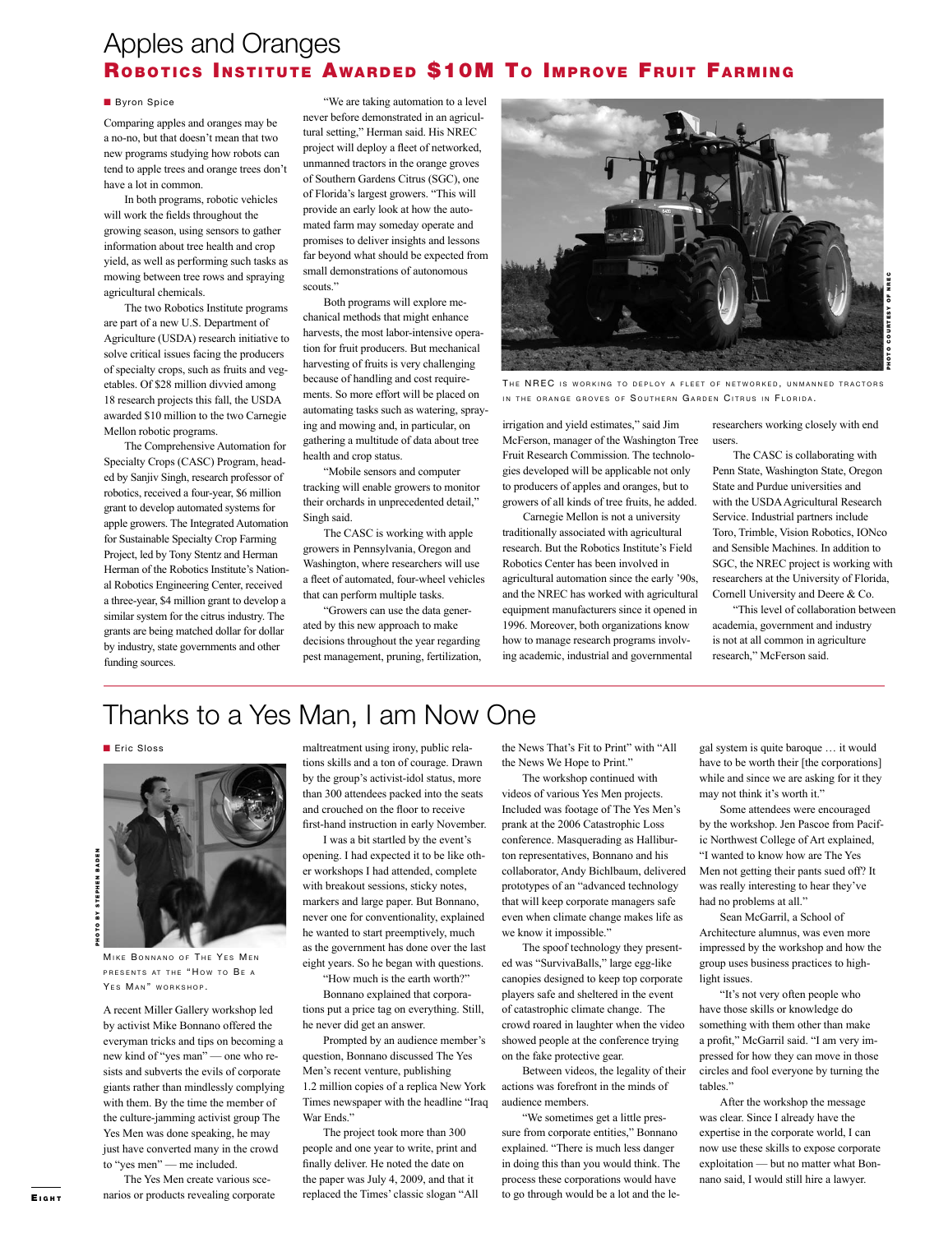### Apples and Oranges ROBOTICS INSTITUTE AWARDED \$10M TO IMPROVE FRUIT FARMING

#### **Byron Spice**

Comparing apples and oranges may be a no-no, but that doesn't mean that two new programs studying how robots can tend to apple trees and orange trees don't have a lot in common.

In both programs, robotic vehicles will work the fields throughout the growing season, using sensors to gather information about tree health and crop yield, as well as performing such tasks as mowing between tree rows and spraying agricultural chemicals.

The two Robotics Institute programs are part of a new U.S. Department of Agriculture (USDA) research initiative to solve critical issues facing the producers of specialty crops, such as fruits and vegetables. Of \$28 million divvied among 18 research projects this fall, the USDA awarded \$10 million to the two Carnegie Mellon robotic programs.

The Comprehensive Automation for Specialty Crops (CASC) Program, headed by Sanjiv Singh, research professor of robotics, received a four-year, \$6 million grant to develop automated systems for apple growers. The Integrated Automation for Sustainable Specialty Crop Farming Project, led by Tony Stentz and Herman Herman of the Robotics Institute's National Robotics Engineering Center, received a three-year, \$4 million grant to develop a similar system for the citrus industry. The grants are being matched dollar for dollar by industry, state governments and other funding sources.

"We are taking automation to a level never before demonstrated in an agricultural setting," Herman said. His NREC project will deploy a fleet of networked, unmanned tractors in the orange groves of Southern Gardens Citrus (SGC), one of Florida's largest growers. "This will provide an early look at how the automated farm may someday operate and promises to deliver insights and lessons far beyond what should be expected from small demonstrations of autonomous scouts."

Both programs will explore mechanical methods that might enhance harvests, the most labor-intensive operation for fruit producers. But mechanical harvesting of fruits is very challenging because of handling and cost requirements. So more effort will be placed on automating tasks such as watering, spraying and mowing and, in particular, on gathering a multitude of data about tree health and crop status.

"Mobile sensors and computer tracking will enable growers to monitor their orchards in unprecedented detail," Singh said.

The CASC is working with apple growers in Pennsylvania, Oregon and Washington, where researchers will use a fleet of automated, four-wheel vehicles that can perform multiple tasks.

"Growers can use the data generated by this new approach to make decisions throughout the year regarding pest management, pruning, fertilization,



THE NREC IS WORKING TO DEPLOY A FLEET OF NETWORKED, UNMANNED TRACTORS IN THE ORANGE GROVES OF SOUTHERN GARDEN CITRUS IN FLORIDA.

irrigation and yield estimates," said Jim McFerson, manager of the Washington Tree Fruit Research Commission. The technologies developed will be applicable not only to producers of apples and oranges, but to growers of all kinds of tree fruits, he added.

Carnegie Mellon is not a university traditionally associated with agricultural research. But the Robotics Institute's Field Robotics Center has been involved in agricultural automation since the early '90s, and the NREC has worked with agricultural equipment manufacturers since it opened in 1996. Moreover, both organizations know how to manage research programs involving academic, industrial and governmental

researchers working closely with end users.

The CASC is collaborating with Penn State, Washington State, Oregon State and Purdue universities and with the USDA Agricultural Research Service. Industrial partners include Toro, Trimble, Vision Robotics, IONco and Sensible Machines. In addition to SGC, the NREC project is working with researchers at the University of Florida, Cornell University and Deere & Co.

"This level of collaboration between academia, government and industry is not at all common in agriculture research," McFerson said.

## Thanks to a Yes Man, I am Now One

**n** Eric Sloss



MIKE BONNANO OF THE YES MEN PRESENTS AT THE "HOW TO BE A YES MAN" WORKSHOP.

A recent Miller Gallery workshop led by activist Mike Bonnano offered the everyman tricks and tips on becoming a new kind of "yes man" — one who resists and subverts the evils of corporate giants rather than mindlessly complying with them. By the time the member of the culture-jamming activist group The Yes Men was done speaking, he may just have converted many in the crowd to "yes men" — me included.

The Yes Men create various scenarios or products revealing corporate maltreatment using irony, public relations skills and a ton of courage. Drawn by the group's activist-idol status, more than 300 attendees packed into the seats and crouched on the floor to receive first-hand instruction in early November.

I was a bit startled by the event's opening. I had expected it to be like other workshops I had attended, complete with breakout sessions, sticky notes, markers and large paper. But Bonnano, never one for conventionality, explained he wanted to start preemptively, much as the government has done over the last eight years. So he began with questions. "How much is the earth worth?"

Bonnano explained that corpora-

tions put a price tag on everything. Still, he never did get an answer.

Prompted by an audience member's question, Bonnano discussed The Yes Men's recent venture, publishing 1.2 million copies of a replica New York Times newspaper with the headline "Iraq War Ends."

The project took more than 300 people and one year to write, print and finally deliver. He noted the date on the paper was July 4, 2009, and that it replaced the Times' classic slogan "All the News That's Fit to Print" with "All the News We Hope to Print."

The workshop continued with videos of various Yes Men projects. Included was footage of The Yes Men's prank at the 2006 Catastrophic Loss conference. Masquerading as Halliburton representatives, Bonnano and his collaborator, Andy Bichlbaum, delivered prototypes of an "advanced technology that will keep corporate managers safe even when climate change makes life as we know it impossible."

The spoof technology they presented was "SurvivaBalls," large egg-like canopies designed to keep top corporate players safe and sheltered in the event of catastrophic climate change. The crowd roared in laughter when the video showed people at the conference trying on the fake protective gear.

Between videos, the legality of their actions was forefront in the minds of audience members.

"We sometimes get a little pressure from corporate entities," Bonnano explained. "There is much less danger in doing this than you would think. The process these corporations would have to go through would be a lot and the le-

gal system is quite baroque … it would have to be worth their [the corporations] while and since we are asking for it they may not think it's worth it."

Some attendees were encouraged by the workshop. Jen Pascoe from Pacific Northwest College of Art explained, "I wanted to know how are The Yes Men not getting their pants sued off? It was really interesting to hear they've had no problems at all."

Sean McGarril, a School of Architecture alumnus, was even more impressed by the workshop and how the group uses business practices to highlight issues.

"It's not very often people who have those skills or knowledge do something with them other than make a profit," McGarril said. "I am very impressed for how they can move in those circles and fool everyone by turning the tables."

After the workshop the message was clear. Since I already have the expertise in the corporate world, I can now use these skills to expose corporate exploitation — but no matter what Bonnano said, I would still hire a lawyer.

E i g h <sup>t</sup>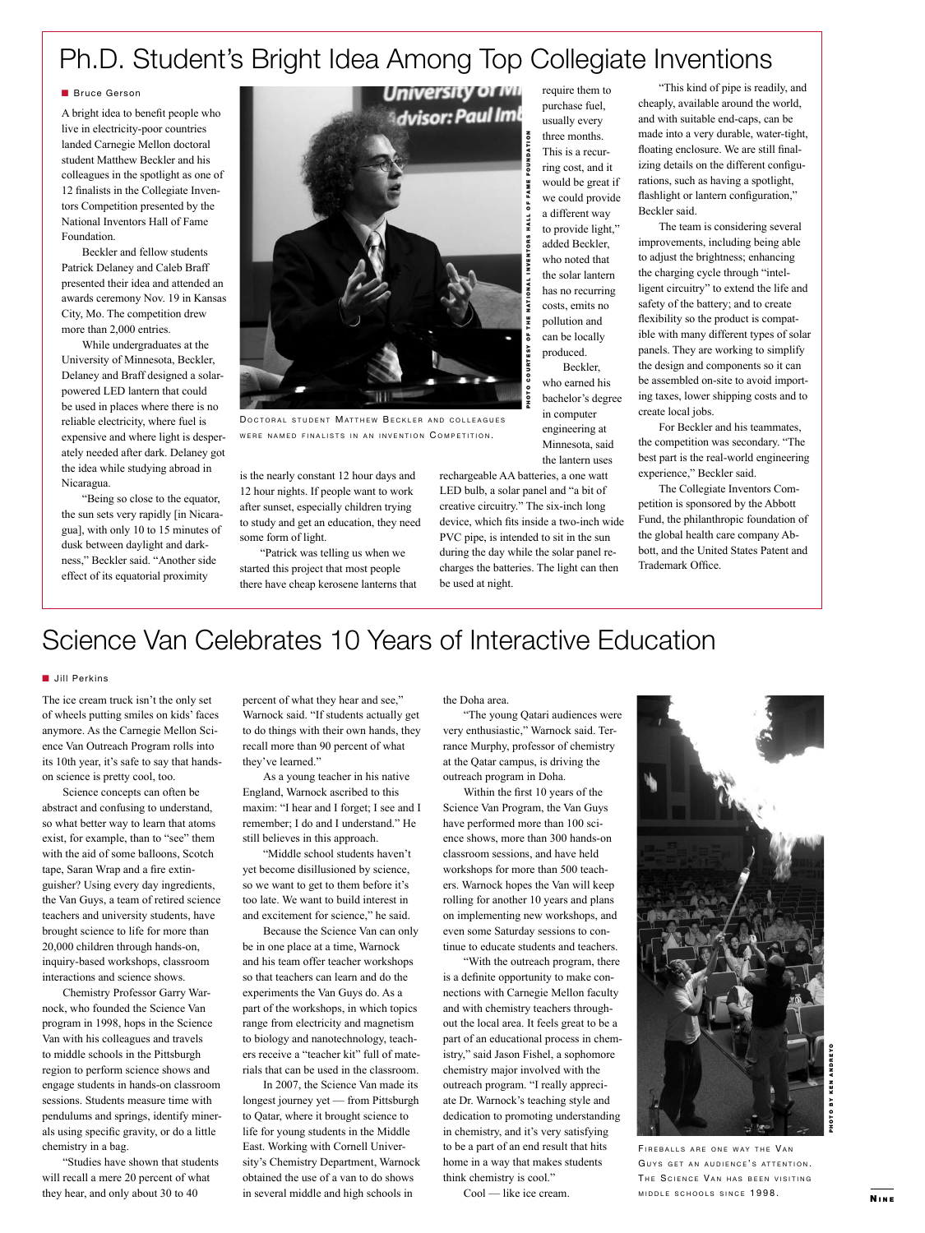## Ph.D. Student's Bright Idea Among Top Collegiate Inventions

#### **Bruce Gerson**

A bright idea to benefit people who live in electricity-poor countries landed Carnegie Mellon doctoral student Matthew Beckler and his colleagues in the spotlight as one of 12 finalists in the Collegiate Inventors Competition presented by the National Inventors Hall of Fame Foundation.

Beckler and fellow students Patrick Delaney and Caleb Braff presented their idea and attended an awards ceremony Nov. 19 in Kansas City, Mo. The competition drew more than 2,000 entries.

While undergraduates at the University of Minnesota, Beckler, Delaney and Braff designed a solarpowered LED lantern that could be used in places where there is no reliable electricity, where fuel is expensive and where light is desperately needed after dark. Delaney got the idea while studying abroad in Nicaragua.

"Being so close to the equator, the sun sets very rapidly [in Nicaragua], with only 10 to 15 minutes of dusk between daylight and darkness," Beckler said. "Another side effect of its equatorial proximity



DOCTORAL STUDENT MATTHEW BECKLER AND COLLEAGUES WERE NAMED FINALISTS IN AN INVENTION COMPETITION.

is the nearly constant 12 hour days and 12 hour nights. If people want to work after sunset, especially children trying to study and get an education, they need some form of light.

"Patrick was telling us when we started this project that most people there have cheap kerosene lanterns that require them to purchase fuel, usually every three months. This is a recurring cost, and it would be great if we could provide a different way to provide light," added Beckler, who noted that the solar lantern has no recurring costs, emits no pollution and can be locally produced.

Beckler, who earned his bachelor's degree in computer engineering at Minnesota, said the lantern uses

rechargeable AA batteries, a one watt LED bulb, a solar panel and "a bit of creative circuitry." The six-inch long device, which fits inside a two-inch wide PVC pipe, is intended to sit in the sun during the day while the solar panel recharges the batteries. The light can then be used at night.

"This kind of pipe is readily, and cheaply, available around the world, and with suitable end-caps, can be made into a very durable, water-tight, floating enclosure. We are still finalizing details on the different configurations, such as having a spotlight, flashlight or lantern configuration," Beckler said.

The team is considering several improvements, including being able to adjust the brightness; enhancing the charging cycle through "intelligent circuitry" to extend the life and safety of the battery; and to create flexibility so the product is compatible with many different types of solar panels. They are working to simplify the design and components so it can be assembled on-site to avoid importing taxes, lower shipping costs and to create local jobs.

For Beckler and his teammates, the competition was secondary. "The best part is the real-world engineering experience," Beckler said.

The Collegiate Inventors Competition is sponsored by the Abbott Fund, the philanthropic foundation of the global health care company Abbott, and the United States Patent and Trademark Office.

## Science Van Celebrates 10 Years of Interactive Education

#### **n** Jill Perkins

The ice cream truck isn't the only set of wheels putting smiles on kids' faces anymore. As the Carnegie Mellon Science Van Outreach Program rolls into its 10th year, it's safe to say that handson science is pretty cool, too.

Science concepts can often be abstract and confusing to understand, so what better way to learn that atoms exist, for example, than to "see" them with the aid of some balloons, Scotch tape, Saran Wrap and a fire extinguisher? Using every day ingredients, the Van Guys, a team of retired science teachers and university students, have brought science to life for more than 20,000 children through hands-on, inquiry-based workshops, classroom interactions and science shows.

Chemistry Professor Garry Warnock, who founded the Science Van program in 1998, hops in the Science Van with his colleagues and travels to middle schools in the Pittsburgh region to perform science shows and engage students in hands-on classroom sessions. Students measure time with pendulums and springs, identify minerals using specific gravity, or do a little chemistry in a bag.

"Studies have shown that students will recall a mere 20 percent of what they hear, and only about 30 to 40

percent of what they hear and see," Warnock said. "If students actually get to do things with their own hands, they recall more than 90 percent of what they've learned."

As a young teacher in his native England, Warnock ascribed to this maxim: "I hear and I forget; I see and I remember; I do and I understand." He still believes in this approach.

"Middle school students haven't yet become disillusioned by science, so we want to get to them before it's too late. We want to build interest in and excitement for science," he said.

Because the Science Van can only be in one place at a time, Warnock and his team offer teacher workshops so that teachers can learn and do the experiments the Van Guys do. As a part of the workshops, in which topics range from electricity and magnetism to biology and nanotechnology, teachers receive a "teacher kit" full of materials that can be used in the classroom.

In 2007, the Science Van made its longest journey yet — from Pittsburgh to Qatar, where it brought science to life for young students in the Middle East. Working with Cornell University's Chemistry Department, Warnock obtained the use of a van to do shows in several middle and high schools in

the Doha area.

"The young Qatari audiences were very enthusiastic," Warnock said. Terrance Murphy, professor of chemistry at the Qatar campus, is driving the outreach program in Doha.

Within the first 10 years of the Science Van Program, the Van Guys have performed more than 100 science shows, more than 300 hands-on classroom sessions, and have held workshops for more than 500 teachers. Warnock hopes the Van will keep rolling for another 10 years and plans on implementing new workshops, and even some Saturday sessions to continue to educate students and teachers.

"With the outreach program, there is a definite opportunity to make connections with Carnegie Mellon faculty and with chemistry teachers throughout the local area. It feels great to be a part of an educational process in chemistry," said Jason Fishel, a sophomore chemistry major involved with the outreach program. "I really appreciate Dr. Warnock's teaching style and dedication to promoting understanding in chemistry, and it's very satisfying to be a part of an end result that hits home in a way that makes students think chemistry is cool."

Cool — like ice cream.



FIREBALLS ARE ONE WAY THE VAN GUYS GET AN AUDIENCE'S ATTENTION. THE SCIENCE VAN HAS BEEN VISITING MIDDLE SCHOOLS SINCE 1998.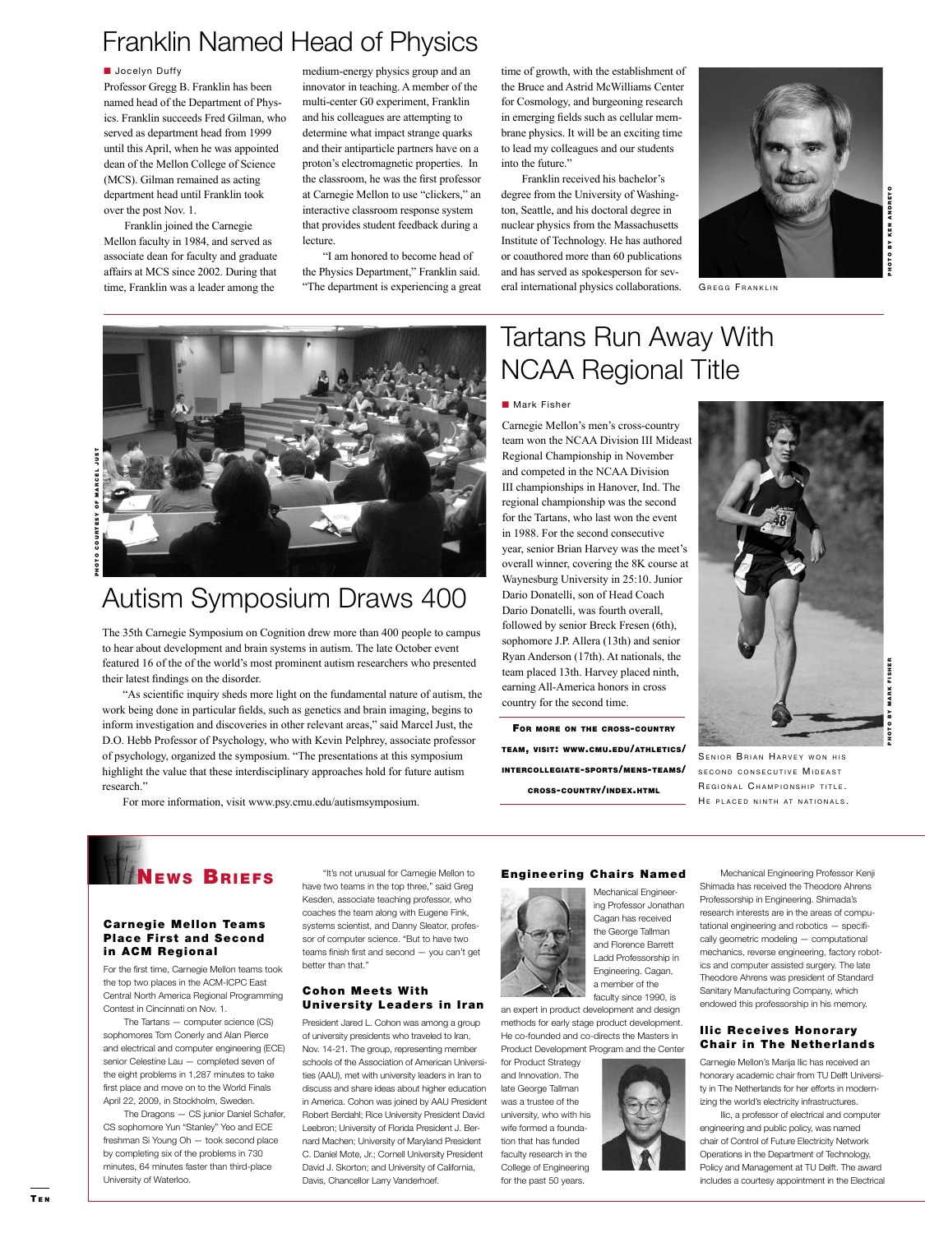### Franklin Named Head of Physics

#### **N** Jocelyn Duffy

Professor Gregg B. Franklin has been named head of the Department of Physics. Franklin succeeds Fred Gilman, who served as department head from 1999 until this April, when he was appointed dean of the Mellon College of Science (MCS). Gilman remained as acting department head until Franklin took over the post Nov. 1.

Franklin joined the Carnegie Mellon faculty in 1984, and served as associate dean for faculty and graduate affairs at MCS since 2002. During that time, Franklin was a leader among the

medium-energy physics group and an innovator in teaching. A member of the multi-center G0 experiment, Franklin and his colleagues are attempting to determine what impact strange quarks and their antiparticle partners have on a proton's electromagnetic properties. In the classroom, he was the first professor at Carnegie Mellon to use "clickers," an interactive classroom response system that provides student feedback during a lecture.

"I am honored to become head of the Physics Department," Franklin said. "The department is experiencing a great

time of growth, with the establishment of the Bruce and Astrid McWilliams Center for Cosmology, and burgeoning research in emerging fields such as cellular membrane physics. It will be an exciting time to lead my colleagues and our students into the future."

Franklin received his bachelor's degree from the University of Washington, Seattle, and his doctoral degree in nuclear physics from the Massachusetts Institute of Technology. He has authored or coauthored more than 60 publications and has served as spokesperson for several international physics collaborations. GREGG FRANKLIN

**IOTO BY KEN ANDREYO**  hoto by ken an d reyo ß.



### Autism Symposium Draws 400

The 35th Carnegie Symposium on Cognition drew more than 400 people to campus to hear about development and brain systems in autism. The late October event featured 16 of the of the world's most prominent autism researchers who presented their latest findings on the disorder.

"As scientific inquiry sheds more light on the fundamental nature of autism, the work being done in particular fields, such as genetics and brain imaging, begins to inform investigation and discoveries in other relevant areas," said Marcel Just, the D.O. Hebb Professor of Psychology, who with Kevin Pelphrey, associate professor of psychology, organized the symposium. "The presentations at this symposium highlight the value that these interdisciplinary approaches hold for future autism research."

For more information, visit www.psy.cmu.edu/autismsymposium.

## Tartans Run Away With NCAA Regional Title

#### **n** Mark Fisher

Carnegie Mellon's men's cross-country team won the NCAA Division III Mideast Regional Championship in November and competed in the NCAA Division III championships in Hanover, Ind. The regional championship was the second for the Tartans, who last won the event in 1988. For the second consecutive year, senior Brian Harvey was the meet's overall winner, covering the 8K course at Waynesburg University in 25:10. Junior Dario Donatelli, son of Head Coach Dario Donatelli, was fourth overall, followed by senior Breck Fresen (6th), sophomore J.P. Allera (13th) and senior Ryan Anderson (17th). At nationals, the team placed 13th. Harvey placed ninth, earning All-America honors in cross country for the second time.

For more on the cross-country team, visit: www.cmu.edu/athletics/ intercollegiate-sports/mens-teams/ cross-country/index.html



SENIOR BRIAN HARVEY WON HIS SECOND CONSECUTIVE MIDEAST REGIONAL CHAMPIONSHIP TITLE. HE PLACED NINTH AT NATIONALS.

### EWS **BRIEFS**

#### **Carnegie Mellon Teams** Place First and Second in ACM Regional

For the first time, Carnegie Mellon teams took the top two places in the ACM-ICPC East Central North America Regional Programming Contest in Cincinnati on Nov. 1.

The Tartans — computer science (CS) sophomores Tom Conerly and Alan Pierce and electrical and computer engineering (ECE) senior Celestine Lau — completed seven of the eight problems in 1,287 minutes to take first place and move on to the World Finals April 22, 2009, in Stockholm, Sweden.

The Dragons — CS junior Daniel Schafer, CS sophomore Yun "Stanley" Yeo and ECE freshman Si Young Oh — took second place by completing six of the problems in 730 minutes, 64 minutes faster than third-place University of Waterloo.

"It's not unusual for Carnegie Mellon to have two teams in the top three," said Greg Kesden, associate teaching professor, who coaches the team along with Eugene Fink, systems scientist, and Danny Sleator, professor of computer science. "But to have two teams finish first and second — you can't get better than that."

### **Cohon Meets With** University Leaders in Iran

President Jared L. Cohon was among a group of university presidents who traveled to Iran, Nov. 14-21. The group, representing member schools of the Association of American Universities (AAU), met with university leaders in Iran to discuss and share ideas about higher education in America. Cohon was joined by AAU President Robert Berdahl; Rice University President David Leebron; University of Florida President J. Bernard Machen; University of Maryland President C. Daniel Mote, Jr.; Cornell University President David J. Skorton; and University of California, Davis, Chancellor Larry Vanderhoef.

### Engineering Chairs Named



Mechanical Engineering Professor Jonathan Cagan has received the George Tallman and Florence Barrett Ladd Professorship in Engineering. Cagan, a member of the

an expert in product development and design methods for early stage product development. He co-founded and co-directs the Masters in Product Development Program and the Center

for Product Strategy and Innovation. The late George Tallman was a trustee of the university, who with his wife formed a foundation that has funded faculty research in the College of Engineering for the past 50 years.



Professorship in Engineering. Shimada's research interests are in the areas of computational engineering and robotics — specifically geometric modeling — computational mechanics, reverse engineering, factory robotics and computer assisted surgery. The late Theodore Ahrens was president of Standard Sanitary Manufacturing Company, which endowed this professorship in his memory.

Mechanical Engineering Professor Kenji

### **Ilic Receives Honorary** Chair in The Netherlands

Carnegie Mellon's Marija Ilic has received an honorary academic chair from TU Delft University in The Netherlands for her efforts in modernizing the world's electricity infrastructures.

Ilic, a professor of electrical and computer engineering and public policy, was named chair of Control of Future Electricity Network Operations in the Department of Technology, Policy and Management at TU Delft. The award includes a courtesy appointment in the Electrical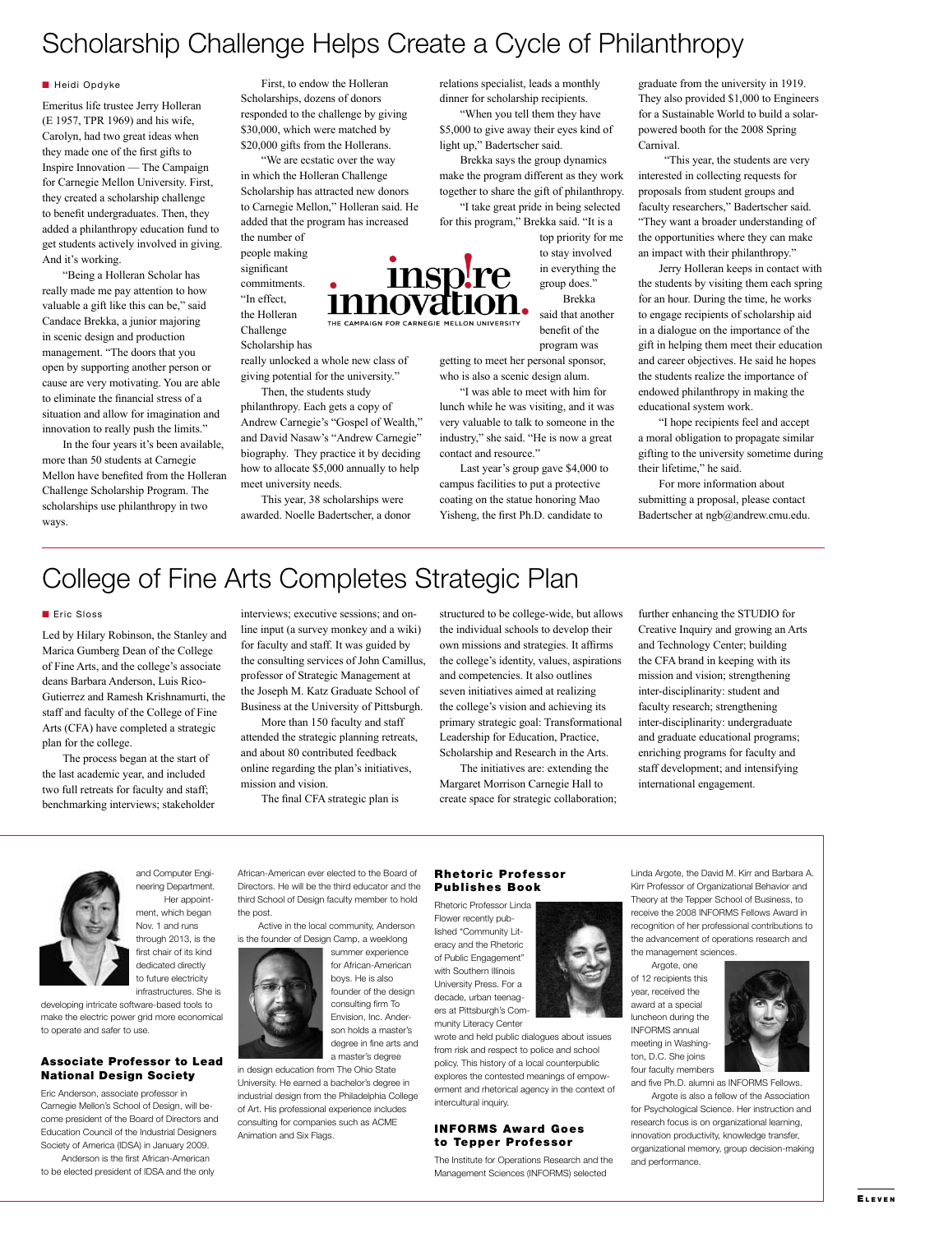### Scholarship Challenge Helps Create a Cycle of Philanthropy

#### **n** Heidi Opdyke

Emeritus life trustee Jerry Holleran (E 1957, TPR 1969) and his wife, Carolyn, had two great ideas when they made one of the first gifts to Inspire Innovation — The Campaign for Carnegie Mellon University. First, they created a scholarship challenge to benefit undergraduates. Then, they added a philanthropy education fund to get students actively involved in giving. And it's working.

"Being a Holleran Scholar has really made me pay attention to how valuable a gift like this can be," said Candace Brekka, a junior majoring in scenic design and production management. "The doors that you open by supporting another person or cause are very motivating. You are able to eliminate the financial stress of a situation and allow for imagination and innovation to really push the limits."

In the four years it's been available, more than 50 students at Carnegie Mellon have benefited from the Holleran Challenge Scholarship Program. The scholarships use philanthropy in two ways.

First, to endow the Holleran Scholarships, dozens of donors responded to the challenge by giving \$30,000, which were matched by \$20,000 gifts from the Hollerans.

"We are ecstatic over the way in which the Holleran Challenge Scholarship has attracted new donors to Carnegie Mellon," Holleran said. He added that the program has increased the number of

people making significant commitments. "In effect, the Holleran Challenge Scholarship has

really unlocked a whole new class of giving potential for the university."

Then, the students study philanthropy. Each gets a copy of Andrew Carnegie's "Gospel of Wealth," and David Nasaw's "Andrew Carnegie" biography. They practice it by deciding how to allocate \$5,000 annually to help

meet university needs. This year, 38 scholarships were awarded. Noelle Badertscher, a donor relations specialist, leads a monthly dinner for scholarship recipients. "When you tell them they have \$5,000 to give away their eyes kind of light up," Badertscher said.

Brekka says the group dynamics make the program different as they work together to share the gift of philanthropy. "I take great pride in being selected for this program," Brekka said. "It is a

top priority for me to stay involved in everything the group does."

Brekka said that another benefit of the program was

getting to meet her personal sponsor, who is also a scenic design alum.

"I was able to meet with him for lunch while he was visiting, and it was very valuable to talk to someone in the industry," she said. "He is now a great contact and resource."

Last year's group gave \$4,000 to campus facilities to put a protective coating on the statue honoring Mao Yisheng, the first Ph.D. candidate to

graduate from the university in 1919. They also provided \$1,000 to Engineers for a Sustainable World to build a solarpowered booth for the 2008 Spring Carnival.

 "This year, the students are very interested in collecting requests for proposals from student groups and faculty researchers," Badertscher said. "They want a broader understanding of the opportunities where they can make an impact with their philanthropy."

Jerry Holleran keeps in contact with the students by visiting them each spring for an hour. During the time, he works to engage recipients of scholarship aid in a dialogue on the importance of the gift in helping them meet their education and career objectives. He said he hopes the students realize the importance of endowed philanthropy in making the educational system work.

"I hope recipients feel and accept a moral obligation to propagate similar gifting to the university sometime during their lifetime," he said.

For more information about submitting a proposal, please contact Badertscher at ngb@andrew.cmu.edu.

### College of Fine Arts Completes Strategic Plan

#### Eric Sloss

Led by Hilary Robinson, the Stanley and Marica Gumberg Dean of the College of Fine Arts, and the college's associate deans Barbara Anderson, Luis Rico-Gutierrez and Ramesh Krishnamurti, the staff and faculty of the College of Fine Arts (CFA) have completed a strategic plan for the college.

The process began at the start of the last academic year, and included two full retreats for faculty and staff; benchmarking interviews; stakeholder interviews; executive sessions; and online input (a survey monkey and a wiki) for faculty and staff. It was guided by the consulting services of John Camillus, professor of Strategic Management at the Joseph M. Katz Graduate School of Business at the University of Pittsburgh.

More than 150 faculty and staff attended the strategic planning retreats, and about 80 contributed feedback online regarding the plan's initiatives, mission and vision.

The final CFA strategic plan is

African-American ever elected to the Board of Directors. He will be the third educator and the

structured to be college-wide, but allows the individual schools to develop their own missions and strategies. It affirms the college's identity, values, aspirations and competencies. It also outlines seven initiatives aimed at realizing the college's vision and achieving its primary strategic goal: Transformational Leadership for Education, Practice, Scholarship and Research in the Arts.

The initiatives are: extending the Margaret Morrison Carnegie Hall to create space for strategic collaboration; further enhancing the STUDIO for Creative Inquiry and growing an Arts and Technology Center; building the CFA brand in keeping with its mission and vision; strengthening inter-disciplinarity: student and faculty research; strengthening inter-disciplinarity: undergraduate and graduate educational programs; enriching programs for faculty and staff development; and intensifying international engagement.



and Computer Engineering Department. Her appointment, which began Nov. 1 and runs through 2013, is the

third School of Design faculty member to hold the post.

first chair of its kind dedicated directly to future electricity infrastructures. She is

developing intricate software-based tools to make the electric power grid more economical to operate and safer to use.

#### Associate Professor to Lead National Design Society

Eric Anderson, associate professor in Carnegie Mellon's School of Design, will become president of the Board of Directors and Education Council of the Industrial Designers Society of America (IDSA) in January 2009. Anderson is the first African-American

to be elected president of IDSA and the only



son holds a master's degree in fine arts and a master's degree in design education from The Ohio State

University. He earned a bachelor's degree in industrial design from the Philadelphia College of Art. His professional experience includes consulting for companies such as ACME Animation and Six Flags.

#### **Rhetoric Professor** Publishes Book

Rhetoric Professor Linda Flower recently published "Community Literacy and the Rhetoric of Public Engagement" with Southern Illinois University Press. For a decade, urban teenagers at Pittsburgh's Community Literacy Center

wrote and held public dialogues about issues from risk and respect to police and school policy. This history of a local counterpublic explores the contested meanings of empowerment and rhetorical agency in the context of intercultural inquiry.

### INFORMS Award Goes to Tepper Professor

The Institute for Operations Research and the Management Sciences (INFORMS) selected

Linda Argote, the David M. Kirr and Barbara A. Kirr Professor of Organizational Behavior and Theory at the Tepper School of Business, to receive the 2008 INFORMS Fellows Award in recognition of her professional contributions to the advancement of operations research and the management sciences.

Argote, one of 12 recipients this year, received the award at a special luncheon during the INFORMS annual meeting in Washington, D.C. She joins four faculty members



and five Ph.D. alumni as INFORMS Fellows. Argote is also a fellow of the Association for Psychological Science. Her instruction and research focus is on organizational learning, innovation productivity, knowledge transfer, organizational memory, group decision-making and performance.